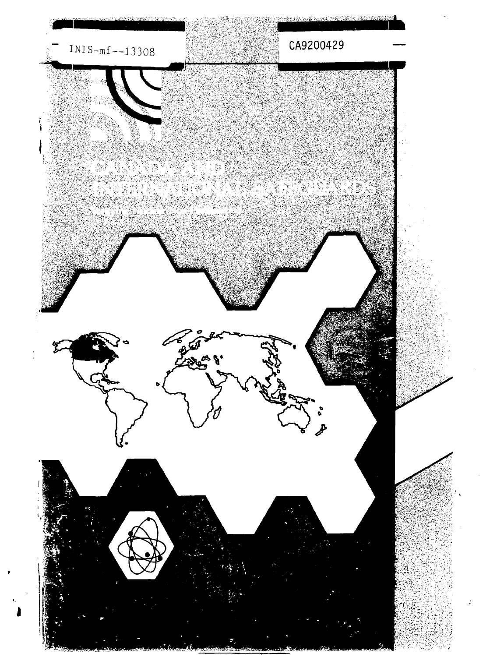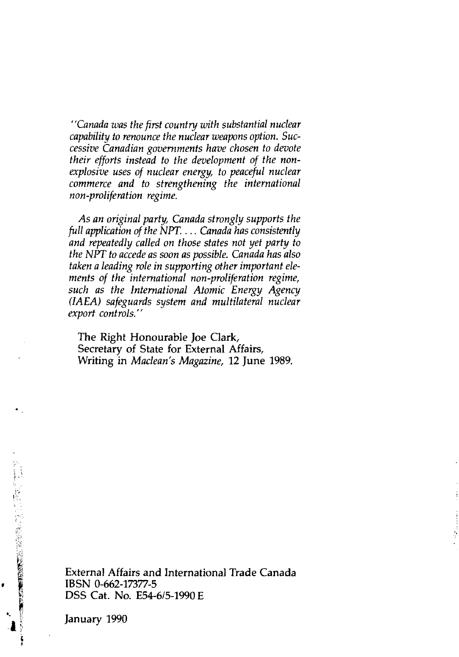*"Canada was the first country with substantial nuclear capability to renounce the nuclear weapons option. Successive Canadian governments have chosen to devote their efforts instead to the development of the nonexplosive uses of nuclear energy, to peaceful nuclear commerce and to strengthening the international non-proliferation regime.*

*As an original party, Canada strongly supports the full application of the NPT.... Canada has consistently and repeatedly called on those states not yet party to the NPT to accede as soon as possible. Canada has also taken a leading role in supporting other important elements of the international non-proliferation regime, such as the International Atomic Energy Agency (IAEA) safeguards system and multilateral nuclear export controls."*

**The Right Honourable Joe Clark, Secretary of State for External Affairs, Writing in** *Maclean's Magazine,* **12 June 1989.**

**External Affairs and International Trade Canada IBSN 0-662-17377-5 DSS Cat. No. E54-6/5-1990 E**

**January 1990**

1999年1月28日に1999年1月1日に1999年1月1日に1999年1月2日に1999年1月2日に1999年1月2日に1999年1月2日に1999年1月2日に1999年1月2日に1999年1月2日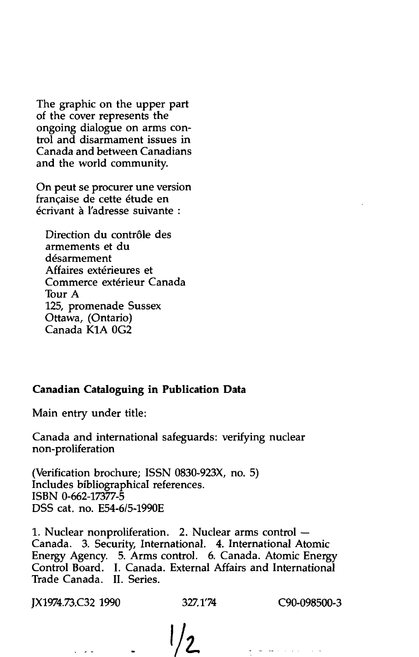The graphic on the upper part of the cover represents the ongoing dialogue on arms control and disarmament issues in Canada and between Canadians and the world community.

On peut se procurer une version française de cette étude en écrivant à l'adresse suivante :

Direction du contrôle des armements et du desarmement Affaires extérieures et Commerce extérieur Canada Tour A 125, promenade Sussex Ottawa, (Ontario) Canada K1A 0G2

### **Canadian Cataloguing in Publication Data**

Main entry under title:

Canada and international safeguards: verifying nuclear non-proliferation

(Verification brochure; ISSN 0830-923X, no. 5) Includes bibliographical references. ISBN 0-662-17377-5 DSS cat. no. E54-6/5-1990E

1. Nuclear nonproliferation. 2. Nuclear arms control — Canada. 3. Security, International. 4. International Atomic Energy Agency. 5. Arms control. 6. Canada. Atomic Energy Control Board. I. Canada. External Affairs and International Trade Canada. II. Series.

JX1974.73.C32 1990 327.174 C90-098500-3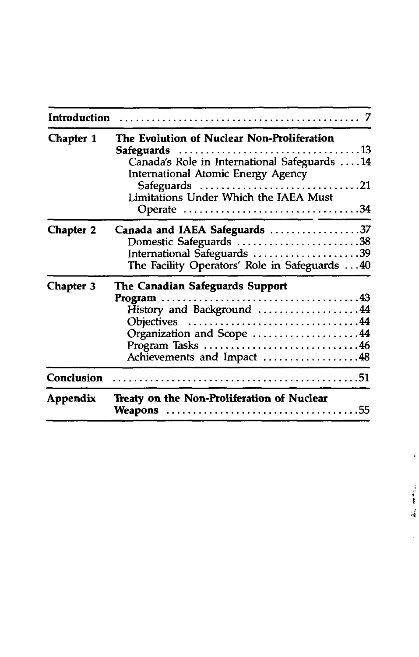| <b>Introduction</b> |                                                                                                                                                                                                                                                                                                          |
|---------------------|----------------------------------------------------------------------------------------------------------------------------------------------------------------------------------------------------------------------------------------------------------------------------------------------------------|
| Chapter 1           | The Evolution of Nuclear Non-Proliferation<br>Safeguards $\ldots \ldots \ldots \ldots \ldots \ldots \ldots \ldots \ldots \ldots \ldots \ldots 13$<br>Canada's Role in International Safeguards 14<br><b>International Atomic Energy Agency</b><br>Safeguards 21<br>Limitations Under Which the IAEA Must |
| Chapter 2           | Canada and IAEA Safeguards 37<br>Domestic Safeguards 38<br>International Safeguards 39<br>The Facility Operators' Role in Safeguards 40                                                                                                                                                                  |
| Chapter 3           | The Canadian Safeguards Support<br>History and Background 44<br>Objectives 44<br>Organization and Scope 44<br>Program Tasks 46<br>Achievements and Impact 48                                                                                                                                             |
| Conclusion          |                                                                                                                                                                                                                                                                                                          |
| Appendix            | Treaty on the Non-Proliferation of Nuclear                                                                                                                                                                                                                                                               |

j Á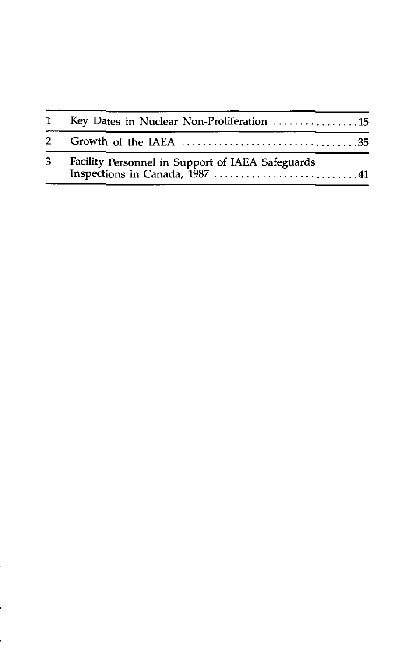|   | 1 Key Dates in Nuclear Non-Proliferation 15      |
|---|--------------------------------------------------|
|   |                                                  |
| 3 | Facility Personnel in Support of IAEA Safeguards |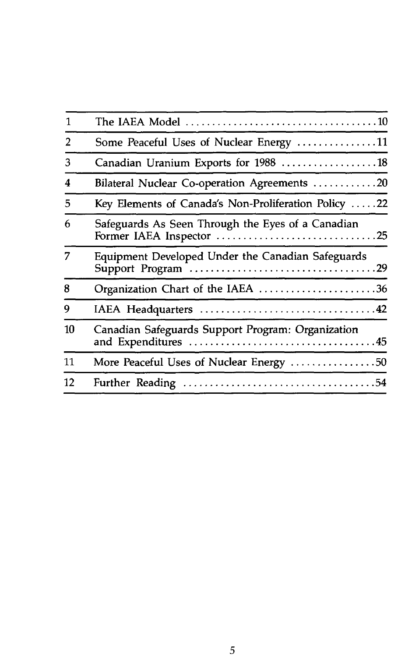| $\mathbf{1}$   |                                                      |
|----------------|------------------------------------------------------|
| $\overline{2}$ | Some Peaceful Uses of Nuclear Energy 11              |
| 3              | Canadian Uranium Exports for 1988 18                 |
| 4              | Bilateral Nuclear Co-operation Agreements 20         |
| 5              | Key Elements of Canada's Non-Proliferation Policy 22 |
| 6              | Safeguards As Seen Through the Eyes of a Canadian    |
| 7              | Equipment Developed Under the Canadian Safeguards    |
| 8              | Organization Chart of the IAEA 36                    |
| 9              |                                                      |
| 10             | Canadian Safeguards Support Program: Organization    |
| 11             | More Peaceful Uses of Nuclear Energy 50              |
| 12             |                                                      |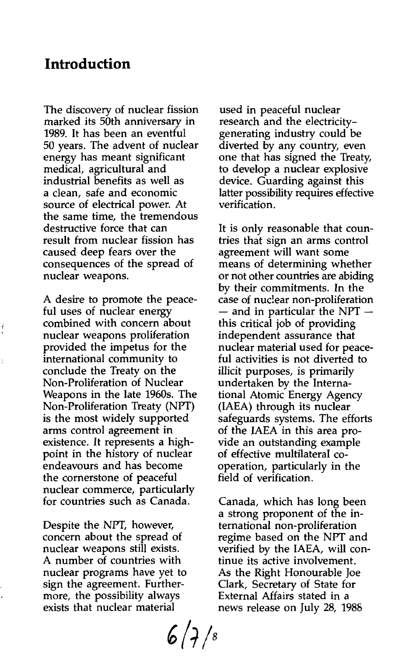# **Introduction**

The discovery of nuclear fission marked its 50th anniversary in 1989. It has been an eventful 50 years. The advent of nuclear energy has meant significant medical, agricultural and industrial benefits as well as a clean, safe and economic source of electrical power. At the same time, the tremendous destructive force that can result from nuclear fission has caused deep fears over the consequences of the spread of nuclear weapons.

A desire to promote the peaceful uses of nuclear energy combined with concern about nuclear weapons proliferation provided the impetus for the international community to conclude the Treaty on the Non-Proliferation of Nuclear Weapons in the late 1960s. The Non-Proliferation Treaty (NPT) is the most widely supported arms control agreement in existence. It represents a highpoint in the history of nuclear endeavours and has become the cornerstone of peaceful nuclear commerce, particularly for countries such as Canada.

Despite the NPT, however, concern about the spread of nuclear weapons still exists. A number of countries with nuclear programs have yet to sign the agreement. Furthermore, the possibility always exists that nuclear material

used in peaceful nuclear research and the electricitygenerating industry could be diverted by any country, even one that has signed the Treaty, to develop a nuclear explosive device. Guarding against this latter possibility requires effective verification.

It is only reasonable that countries that sign an arms control agreement will want some means of determining whether or not other countries are abiding by their commitments. In the case of nuclear non-proliferation — and in particular the NPT this critical job of providing independent assurance that nuclear material used for peaceful activities is not diverted to illicit purposes, is primarily undertaken by the International Atomic Energy Agency (IAEA) through its nuclear safeguards systems. The efforts of the IAEA in this area provide an outstanding example of effective multilateral cooperation, particularly in the field of verification.

Canada, which has long been a strong proponent of the international non-proliferation regime based on the NPT and verified by the IAEA, will continue its active involvement. As the Right Honourable Joe Clark, Secretary of State for External Affairs stated in a news release on July 28, 1988

 $6/7/8$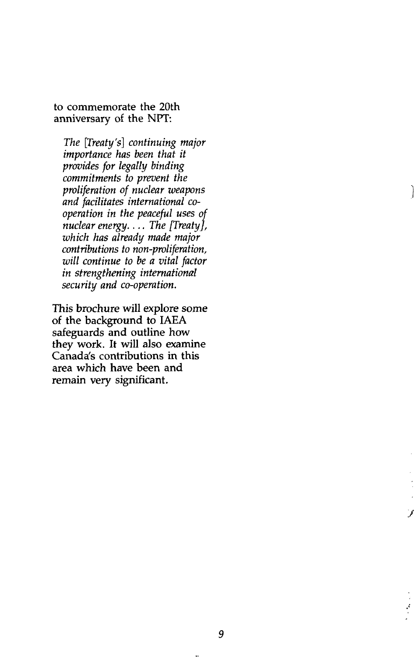to commemorate the 20th anniversary of the NPT:

*The [Treaty's] continuing major importance has been that it provides for legally binding commitments to prevent the proliferation of nuclear weapons and facilitates international cooperation in the peaceful uses of nuclear energy.... The [Treaty], which has already made major contributions to non-proliferation, will continue to be a vital factor in strengthening international security and co-operation.*

This brochure will explore some of the background to IAEA safeguards and outline how they work. It will also examine Canada's contributions in this area which have been and remain very significant.

 $\mathcal{L}$ 

y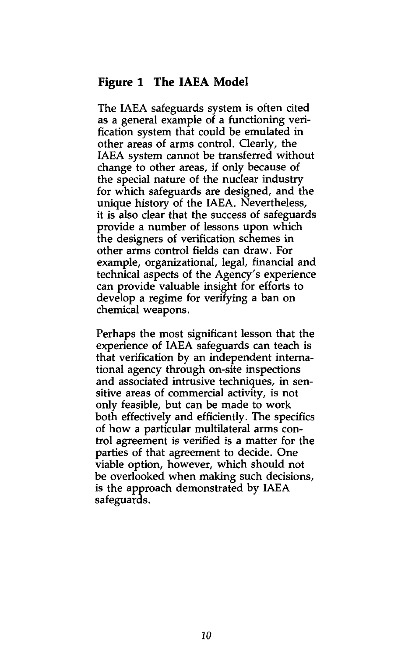## **Figure 1 The IAEA Model**

The IAEA safeguards system is often cited as a general example of a functioning verification system that could be emulated in other areas of arms control. Clearly, the IAEA system cannot be transferred without change to other areas, if only because of the special nature of the nuclear industry for which safeguards are designed, and the unique history of the IAEA. Nevertheless, it is also clear that the success of safeguards provide a number of lessons upon which the designers of verification schemes in other arms control fields can draw. For example, organizational, legal, financial and technical aspects of the Agency's experience can provide valuable insight for efforts to develop a regime for verifying a ban on chemical weapons.

Perhaps the most significant lesson that the experience of IAEA safeguards can teach is that verification by an independent international agency through on-site inspections and associated intrusive techniques, in sensitive areas of commercial activity, is not only feasible, but can be made to work both effectively and efficiently. The specifics of how a particular multilateral arms control agreement is verified is a matter for the parties of that agreement to decide. One viable option, however, which should not be overlooked when making such decisions, is the approach demonstrated by IAEA safeguards.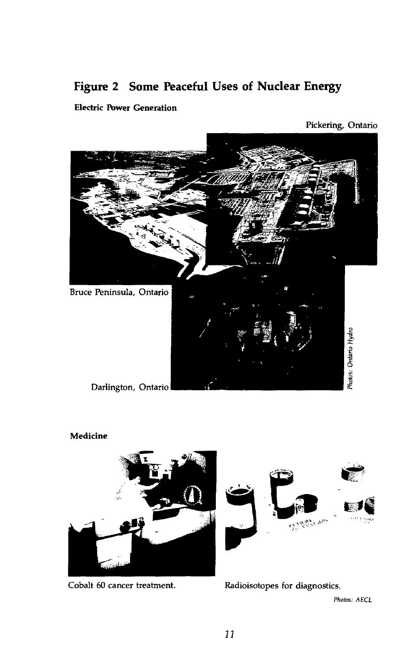# Figure 2 Some Peaceful Uses of Nuclear Energy

**Electric Power Generation**



#### **Medicine**





Cobalt 60 cancer treatment. Radioisotopes for diagnostics.

Photos. *AECL*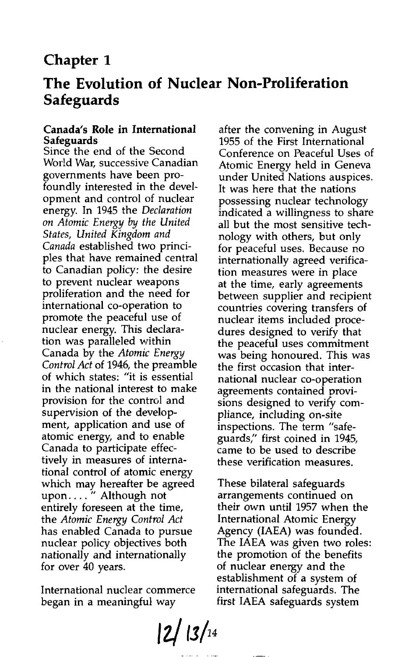# **Chapter 1**

# **The Evolution of Nuclear Non-Proliferation Safeguards**

#### **Canada's Role in International Safeguards**

Since the end of the Second World War, successive Canadian governments have been profoundly interested in the development and control of nuclear energy. In 1945 the *Declaration on Atomic Energy by the United States, United Kingdom and Canada* established two principles that have remained central to Canadian policy: the desire to prevent nuclear weapons proliferation and the need for international co-operation to promote the peaceful use of nuclear energy. This declaration was paralleled within Canada by the *Atomic Energy Control Act* of 1946, the preamble of which states: "it is essential in the national interest to make provision for the control and supervision of the development, application and use of atomic energy, and to enable Canada to participate effectively in measures of international control of atomic energy which may hereafter be agreed upon....<sup>"</sup> Although not entirely foreseen at the time, the *Atomic Energy Control Act* has enabled Canada to pursue nuclear policy objectives both nationally and internationally for over 40 years.

International nuclear commerce began in a meaningful way

after the convening in August 1955 of the First International Conference on Peaceful Uses of Atomic Energy held in Geneva under United Nations auspices. It was here that the nations possessing nuclear technology indicated a willingness to share all but the most sensitive technology with others, but only for peaceful uses. Because no internationally agreed verification measures were in place at the time, early agreements between supplier and recipient countries covering transfers of nuclear items included procedures designed to verify that the peaceful uses commitment was being honoured. This was the first occasion that international nuclear co-operation agreements contained provisions designed to verify compliance, including on-site inspections. The term "safeguards," first coined in 1945, came to be used to describe these verification measures.

These bilateral safeguards arrangements continued on their own until 1957 when the International Atomic Energy Agency (IAEA) was founded. The IAEA was given two roles: the promotion of the benefits of nuclear energy and the establishment of a system of international safeguards. The first IAEA safeguards system

*\lj IS fa*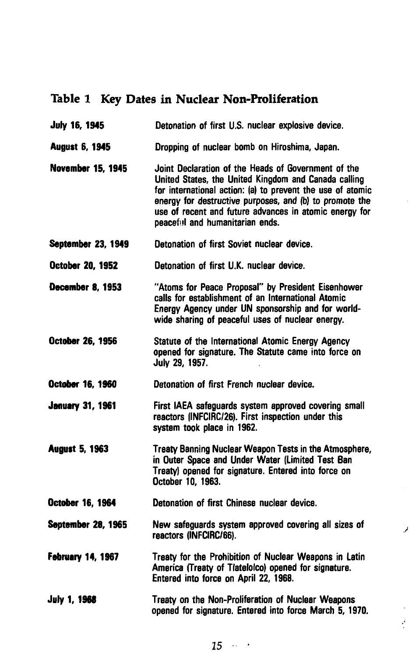### **Table 1 Key Dates in Nuclear Non-Proliferation**

**July 16, 1945** Detonation of first U.S. nuclear explosive device.

- **August 6,1945** Dropping of nuclear bomb on Hiroshima, Japan.
- **November 15.1945** Joint Declaration of the Heads of Government of the United States, the United Kingdom and Canada calling for international action: (a) to prevent the use of atomic energy for destructive purposes, and (b) to promote the use of recent and future advances in atomic energy for peaceful and humanitarian ends.
- **September 23.1949** Detonation of first Soviet nuclear device.

**October 20,1952** Detonation of first U.K. nuclear device.

- **December 8,1953** "Atoms for Peace Proposal" by President Eisenhower calls for establishment of an International Atomic Energy Agency under UN sponsorship and for worldwide sharing of peaceful uses of nuclear energy.
- **October 26,1956** Statute of the International Atomic Energy Agency opened for signature. The Statute came into force on July 29, 1957.

**October 16,1960** Detonation of first French nuclear device.

- **January 31,1961** First IAEA safeguards system approved covering small reactors **(INFCIRC/26).** First inspection under this system took place in 1962.
- **August 5,1963** Treaty Banning Nuclear Weapon Tests in the Atmosphere, in Outer Space and Under Water (Limited Test Ban Treaty) opened for signature. Entered into force on October 10, 1963.
- **October 16,1964** Detonation of first Chinese nuclear device.
- **September 28,1965** New safeguards system approved covering all sizes of reactors (INFCIRC/66).

7

 $\boldsymbol{\cdot}$ 

- **February 14,1967** Treaty for the Prohibition of Nuclear Weapons in Latin America (Treaty of Tlatelolco) opened for signature. Entered into force on April 22, 1968.
- **July 1,1968** Treaty on the Non-Proliferation of Nuclear Weapons opened for signature. Entered into force March 5, 1970.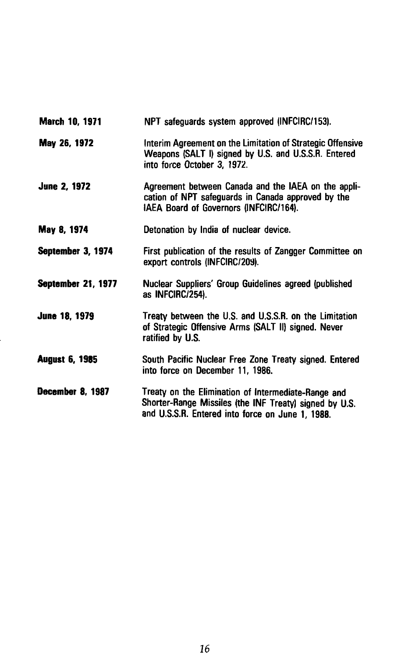| <b>March 10, 1971</b>     | NPT safeguards system approved (INFCIRC/153).                                                                                                                     |
|---------------------------|-------------------------------------------------------------------------------------------------------------------------------------------------------------------|
| May 26, 1972              | Interim Agreement on the Limitation of Strategic Offensive<br>Weapons (SALT I) signed by U.S. and U.S.S.R. Entered<br>into force October 3, 1972.                 |
| <b>June 2, 1972</b>       | Agreement between Canada and the IAEA on the appli-<br>cation of NPT safeguards in Canada approved by the<br>IAEA Board of Governors (INFCIRC/164).               |
| May 8, 1974               | Detonation by India of nuclear device.                                                                                                                            |
| September 3, 1974         | First publication of the results of Zangger Committee on<br>export controls (INFCIRC/209).                                                                        |
| <b>September 21, 1977</b> | Nuclear Suppliers' Group Guidelines agreed (published<br>as INFCIRC/254).                                                                                         |
| <b>June 18, 1979</b>      | Treaty between the U.S. and U.S.S.R. on the Limitation<br>of Strategic Offensive Arms (SALT II) signed. Never<br>ratified by U.S.                                 |
| <b>August 6, 1985</b>     | South Pacific Nuclear Free Zone Treaty signed. Entered<br>into force on December 11, 1986.                                                                        |
| <b>December 8, 1987</b>   | Treaty on the Elimination of Intermediate-Range and<br>Shorter-Range Missiles (the INF Treaty) signed by U.S.<br>and U.S.S.R. Entered into force on June 1, 1988. |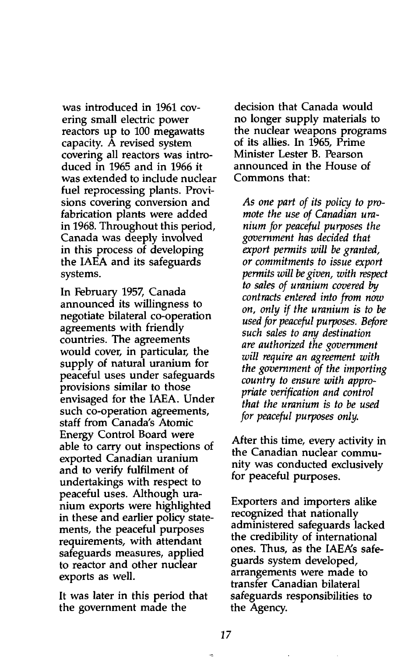was introduced in 1961 covering small electric power reactors up to 100 megawatts capacity. A revised system covering all reactors was introduced in 1965 and in 1966 it was extended to include nuclear fuel reprocessing plants. Provisions covering conversion and fabrication plants were added in 1968. Throughout this period, Canada was deeply involved in this process of developing the IAEA and its safeguards systems.

In February 1957, Canada announced its willingness to negotiate bilateral co-operation agreements with friendly countries. The agreements would cover, in particular, the supply of natural uranium for peaceful uses under safeguards provisions similar to those envisaged for the IAEA. Under such co-operation agreements, staff from Canada's Atomic Energy Control Board were able to carry out inspections of exported Canadian uranium and to verify fulfilment of undertakings with respect to peaceful uses. Although uranium exports were highlighted in these and earlier policy statements, the peaceful purposes requirements, with attendant safeguards measures, applied to reactor and other nuclear exports as well.

It was later in this period that the government made the

decision that Canada would no longer supply materials to the nuclear weapons programs of its allies. In 1965, Prime Minister Lester B. Pearson announced in the House of Commons that:

*As one part of its policy to promote the use of Canadian uranium for peaceful purposes the government has decided that export permits will be granted, or commitments to issue export permits will be given, with respect to sales of uranium covered by contracts entered into from now on, only if the uranium is to be used for peaceful purposes. Before such sales to any destination are authorized the government will require an agreement with the government of the importing country to ensure with appropriate verification and control that the uranium is to be used for peaceful purposes only.*

After this time, every activity in the Canadian nuclear community was conducted exclusively for peaceful purposes.

Exporters and importers alike recognized that nationally administered safeguards lacked the credibility of international ones. Thus, as the IAEA's safeguards system developed, arrangements were made to transfer Canadian bilateral safeguards responsibilities to the Agency.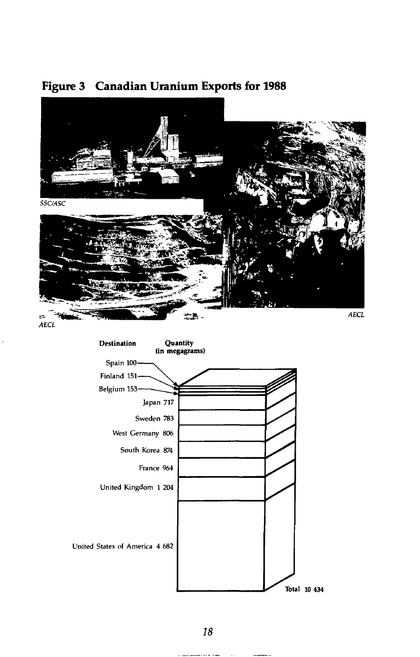**Figure 3 Canadian Uranium Exports for 1988**

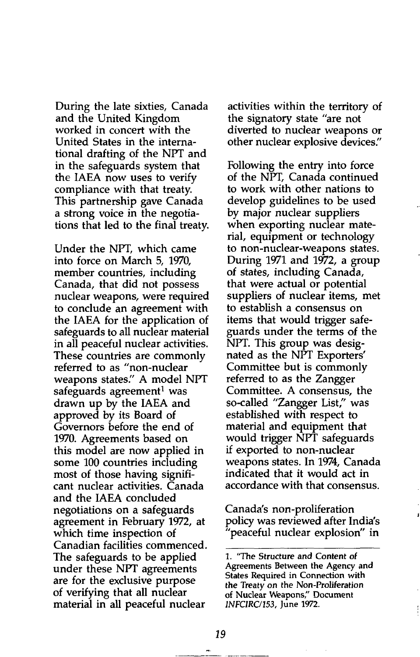During the late sixties, Canada and the United Kingdom worked in concert with the United States in the international drafting of the NPT and in the safeguards system that the IAEA now uses to verify compliance with that treaty. This partnership gave Canada a strong voice in the negotiations that led to the final treaty.

Under the NPT, which came into force on March 5, 1970, member countries, including Canada, that did not possess nuclear weapons, were required to conclude an agreement with the IAEA for the application of safeguards to all nuclear material in all peaceful nuclear activities. These countries are commonly referred to as "non-nuclear weapons states." A model NPT  ${\rm x}$  and  ${\rm x}$  and  ${\rm x}$  are  ${\rm x}$  and  ${\rm x}$  are  ${\rm x}$  and  ${\rm x}$  are  ${\rm x}$  and  ${\rm x}$  are  ${\rm x}$  and  ${\rm x}$  are  ${\rm x}$  and  ${\rm x}$  are  ${\rm x}$  and  ${\rm x}$  are  ${\rm x}$  and  ${\rm x}$  are  ${\rm x}$  and  ${\rm x}$  are  ${\rm x}$  and drawn up by the IAEA and approved by its Board of Governors before the end of 1970. Agreements based on this model are now applied in some 100 countries including most of those having significant nuclear activities. Canada and the IAEA concluded negotiations on a safeguards agreement in February 1972, at which time inspection of Canadian facilities commenced. The safeguards to be applied under these NPT agreements are for the exclusive purpose of verifying that all nuclear material in all peaceful nuclear

activities within the territory of the signatory state "are not diverted to nuclear weapons or other nuclear explosive devices."

Following the entry into force of the NPT, Canada continued to work with other nations to develop guidelines to be used by major nuclear suppliers when exporting nuclear material, equipment or technology to non-nuclear-weapons states. During 1971 and 1972, a group of states, including Canada, that were actual or potential suppliers of nuclear items, met to establish a consensus on items that would trigger safeguards under the terms of the NPT. This group was designated as the NPT Exporters' Committee but is commonly referred to as the Zangger Committee. A consensus, the so-called "Zangger List," was established with respect to material and equipment that would trigger NPT safeguards if exported to non-nuclear weapons states. In 1974, Canada indicated that it would act in accordance with that consensus.

Canada's non-proliferation policy was reviewed after India's 'peaceful nuclear explosion'' in

<sup>1. &</sup>quot;The Structure and Content *of* Agreements Between the Agency and States Required in Connection with the Treaty on the Non-Proliferation of Nuclear Weapons," Document *INFCIRC/153,* June 1972.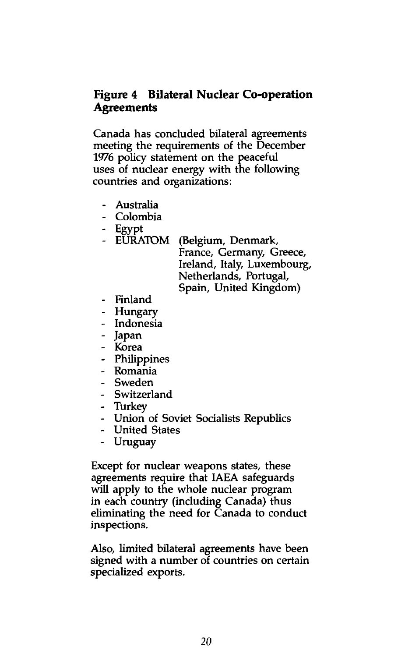# **Figure 4 Bilateral Nuclear Co-operation Agreements**

Canada has concluded bilateral agreements meeting the requirements of the December 1976 policy statement on the peaceful uses of nuclear energy with the following countries and organizations:

- Australia
- Colombia
- Egypt
- EURATOM (Belgium, Denmark, France, Germany, Greece, Ireland, Italy, Luxembourg, Netherlands, Portugal, Spain, United Kingdom)
- Finland
- Hungary
- Indonesia
- Japan
- Korea
- Philippines
- Romania
- Sweden
- Switzerland
- Turkey
- Union of Soviet Socialists Republics
- United States
- Uruguay

Except for nuclear weapons states, these agreements require that IAEA safeguards will apply to the whole nuclear program in each country (including Canada) thus eliminating the need for Canada to conduct inspections.

Also, limited bilateral agreements have been signed with a number of countries on certain specialized exports.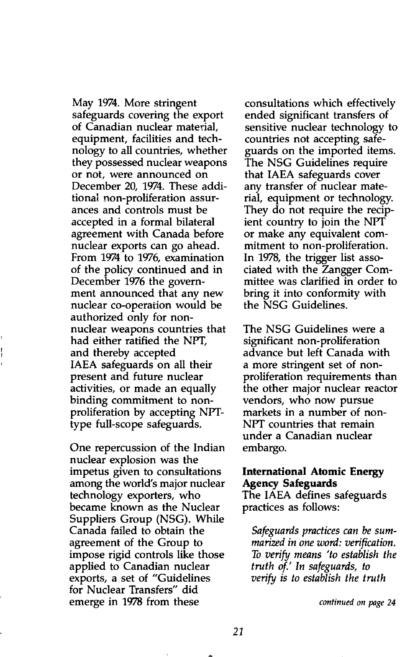May 1974. More stringent safeguards covering the export of Canadian nuclear material, equipment, facilities and technology to all countries, whether they possessed nuclear weapons or not, were announced on December 20, 1974. These additional non-proliferation assurances and controls must be accepted in a formal bilateral agreement with Canada before nuclear exports can go ahead. From 1974 to 1976, examination of the policy continued and in December 1976 the government announced that any new nuclear co-operation would be authorized only for nonnuclear weapons countries that had either ratified the NPT, and thereby accepted IAEA safeguards on all their present and future nuclear activities, or made an equally binding commitment to nonproliferation by accepting NPTtype full-scope safeguards.

One repercussion of the Indian nuclear explosion was the impetus given to consultations among the world's major nuclear technology exporters, who became known as the Nuclear Suppliers Group (NSG). While Canada failed to obtain the agreement of the Group to impose rigid controls like those applied to Canadian nuclear exports, a set of "Guidelines for Nuclear Transfers" did emerge in 1978 from these

consultations which effectively ended significant transfers of sensitive nuclear technology to countries not accepting safeguards on the imported items. The NSG Guidelines require that IAEA safeguards cover any transfer of nuclear material, equipment or technology. They do not require the recipient country to join the NPT or make any equivalent commitment to non-proliferation. In 1978, the trigger list associated with the Zangger Committee was clarified in order to bring it into conformity with the NSG Guidelines.

The NSG Guidelines were a significant non-proliferation advance but left Canada with a more stringent set of nonproliferation requirements than the other major nuclear reactor vendors, who now pursue markets in a number of non-NPT countries that remain under a Canadian nuclear embargo.

### **International Atomic Energy Agency Safeguards**

The IAEA defines safeguards practices as follows:

*Safeguards practices can be summarized in one word: verification. To verify means 'to establish the truth of In safeguards, to verify is to establish the truth*

*continued on page 24*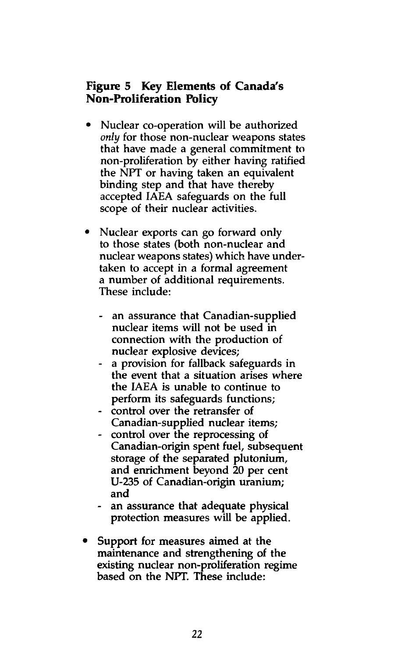### **Figure 5 Key Elements of Canada's Non-Proliferation Policy**

- Nuclear co-operation will be authorized *only* for those non-nuclear weapons states that have made a general commitment to non-proliferation by either having ratified the NPT or having taken an equivalent binding step and that have thereby accepted IAEA safeguards on the full scope of their nuclear activities.
- Nuclear exports can go forward only to those states (both non-nuclear and nuclear weapons states) which have undertaken to accept in a formal agreement a number of additional requirements. These include:
	- an assurance that Canadian-supplied nuclear items will not be used in connection with the production of nuclear explosive devices;
	- a provision for fallback safeguards in the event that a situation arises where the IAEA is unable to continue to perform its safeguards functions;
	- control over the retransfer of Canadian-supplied nuclear items;
	- control over the reprocessing of Canadian-origin spent fuel, subsequent storage of the separated plutonium, and enrichment beyond 20 per cent U-235 of Canadian-origin uranium; and
	- an assurance that adequate physical protection measures will be applied.
- Support for measures aimed at the maintenance and strengthening of the existing nuclear non-proliferation regime based on the NPT. These include: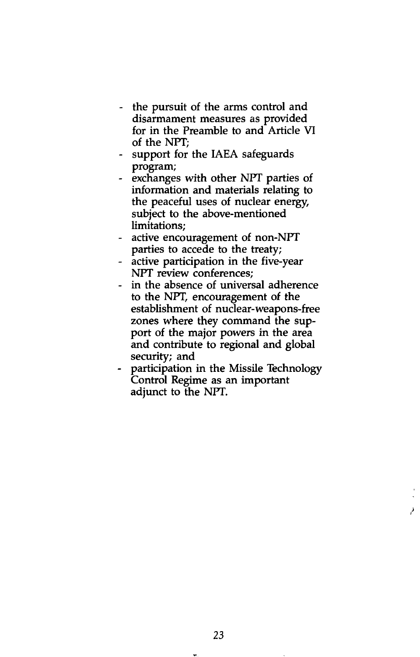- the pursuit of the arms control and  $\frac{1}{2}$ disarmament measures as provided for in the Preamble to and Article VI of the NPT;
- support for the IAEA safeguards  $\blacksquare$ program;
- exchanges with other NPT parties of information and materials relating to the peaceful uses of nuclear energy, subject to the above-mentioned limitations;
- active encouragement of non-NPT parties to accede to the treaty;
- active participation in the five-year NPT review conferences;
- in the absence of universal adherence to the NPT, encouragement of the establishment of nuclear-weapons-free zones where they command the support of the major powers in the area and contribute to regional and global security; and
- participation in the Missile Technology Control Regime as an important adjunct to the NPT.

λ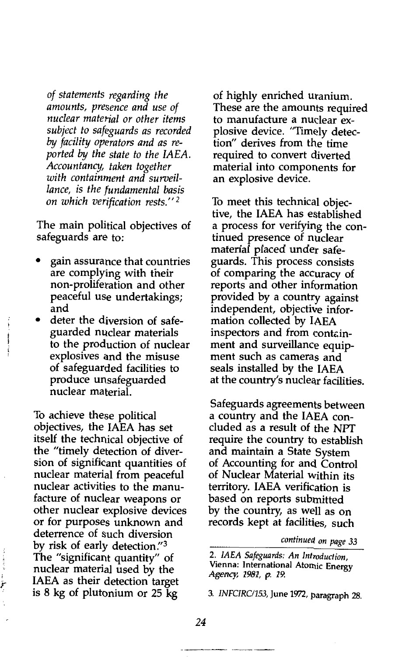*of statements regarding the amounts, presence and use of nuclear material or other items subject to safeguards as recorded by facility operators and as reported by the state to the IAEA. Accountancy, taken together with containment and surveillance, is the fundamental basis on which verification rests."<sup>2</sup>*

The main political objectives of safeguards are to:

- gain assurance that countries are complying with their non-proliferation and other peaceful use undertakings; and
- deter the diversion of safeguarded nuclear materials to the production of nuclear explosives and the misuse of safeguarded facilities to produce unsafeguarded nuclear material.

To achieve these political objectives, the IAEA has set itself the technical objective of the "timely detection of diversion of significant quantities of nuclear material from peaceful nuclear activities to the manufacture of nuclear weapons or other nuclear explosive devices or for purposes unknown and deterrence of such diversion by risk of early detection."<sup>3</sup> The "significant quantity" of nuclear material used by the IAEA as their detection target is 8 kg of plutonium or 25 kg

of highly enriched uranium. These are the amounts required to manufacture a nuclear explosive device. "Timely detection" derives from the time required to convert diverted material into components for an explosive device.

To meet this technical objective, the IAEA has established a process for verifying the continued presence of nuclear material placed under safeguards. This process consists of comparing the accuracy of reports and other information provided by a country against independent, objective information collected by IAEA inspectors and from containment and surveillance equipment such as cameras and seals installed by the IAEA at the country's nuclear facilities.

Safeguards agreements between a country and the IAEA concluded as a result of the NPT require the country to establish and maintain a State System of Accounting for and Control of Nuclear Material within its territory. IAEA verification is based on reports submitted by the country, as well as on records kept at facilities, such

#### *continued on page 33*

3. *INFCIRC/153,* June 1972, paragraph 28.

*<sup>2.</sup> IAEA Safeguards: An Introduction,* Vienna: International Atomic Energy *Agency, 1981, p. 19.*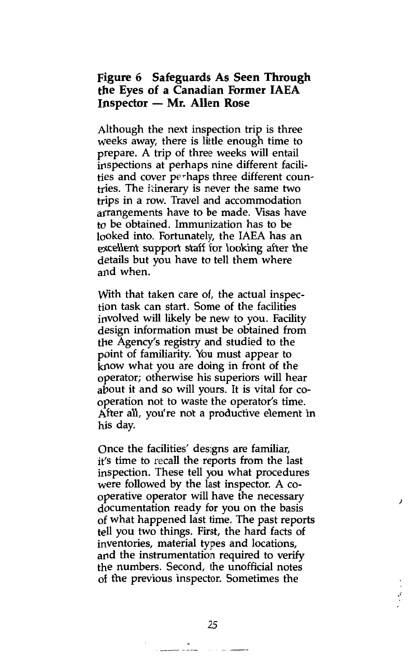### Figure 6 Safeguards As Seen Through the Eyes of a Canadian Former IAEA Inspector — Mr. Allen Rose

Although the next inspection trip is three weeks away, there is little enough time to prepare. A trip of three weeks will entail inspections at perhaps nine different facilities and cover perhaps three different countries. The *itinerary* is never the same two trips in a row. Travel and accommodation arrangements have to be made. Visas have to be obtained. Immunization has to be looked into. Fortunately, the IAEA has an excellent support staff for iookmg after the details but you have to tell them where and when.

With that taken care of, the actual inspection task can start. Some of the facilities involved will likely be new to you. Facility design information must be obtained from the Agency's registry and studied to the point of familiarity. You must appear to know what you are doing in front of the operator; otherwise his superiors will hear about it and so will yours. It is vital for cooperation not to waste the operator's time. After all, you're not a productive element in his day.

Once the facilities' designs are familiar, it's time to recall the reports from the last inspection. These tell you what procedures were followed by the last inspector. A cooperative operator will have the necessary documentation ready for you on the basis of what happened last time. The past reports tell you two things. First, the hard facts of inventories, material types and locations, and the instrumentation required to verify the numbers. Second, the unofficial notes of the previous inspector. Sometimes the

and the con-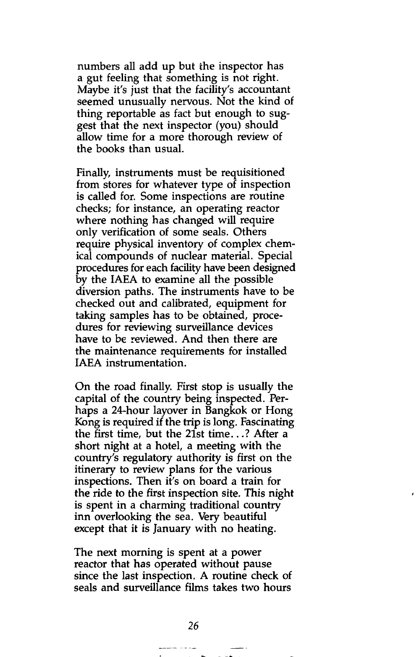numbers all add up but the inspector has a gut feeling that something is not right. Maybe it's just that the facility's accountant seemed unusually nervous. Not the kind of thing reportable as fact but enough to suggest that the next inspector (you) should allow time for a more thorough review of the books than usual.

Finally, instruments must be requisitioned from stores for whatever type of inspection is called for. Some inspections are routine checks; for instance, an operating reactor where nothing has changed will require only verification of some seals. Others require physical inventory of complex chemical compounds of nuclear material. Special procedures for each facility have been designed by the IAEA to examine all the possible diversion paths. The instruments have to be checked out and calibrated, equipment for taking samples has to be obtained, procedures for reviewing surveillance devices have to be reviewed. And then there are the maintenance requirements for installed IAEA instrumentation.

On the road finally. First stop is usually the capital of the country being inspected. Perhaps a 24-hour layover in Bangkok or Hong Kong is required if the trip is long. Fascinating the first time, but the 21st time...? After a short night at a hotel, a meeting with the country's regulatory authority is first on the itinerary to review plans for the various inspections. Then it's on board a train for the ride to the first inspection site. This night is spent in a charming traditional country inn overlooking the sea. Very beautiful except that it is January with no heating.

The next morning is spent at a power reactor that has operated without pause since the last inspection. A routine check of seals and surveillance films takes two hours

للمسترد والمستند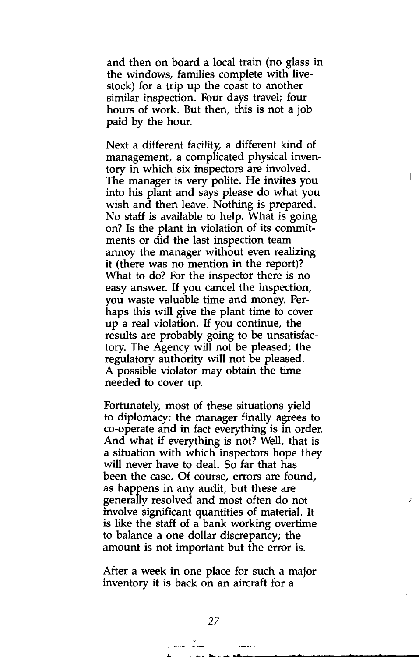and then on board a local train (no glass in the windows, families complete with livestock) for a trip up the coast to another similar inspection. Four days travel; four hours of work. But then, this is not a job paid by the hour.

Next a different facility, a different kind of management, a complicated physical inventory in which six inspectors are involved. The manager is very polite. He invites you into his plant and says please do what you wish and then leave. Nothing is prepared. No staff is available to help. What is going on? Is the plant in violation of its commitments or did the last inspection team annoy the manager without even realizing it (there was no mention in the report)? What to do? For the inspector there is no easy answer. If you cancel the inspection, you waste valuable time and money. Perhaps this will give the plant time to cover up a real violation. If you continue, the results are probably going to be unsatisfactory. The Agency will not be pleased; the regulatory authority will not be pleased. A possible violator may obtain the time needed to cover up.

Fortunately, most of these situations yield to diplomacy: the manager finally agrees to co-operate and in fact everything is in order. And what if everything is not? Well, that is a situation with which inspectors hope they will never have to deal. So far that has been the case. Of course, errors are found, as happens in any audit, but these are generally resolved and most often do not involve significant quantities of material. It is like the staff of a bank working overtime to balance a one dollar discrepancy; the amount is not important but the error is.

After a week in one place for such a major inventory it is back on an aircraft for a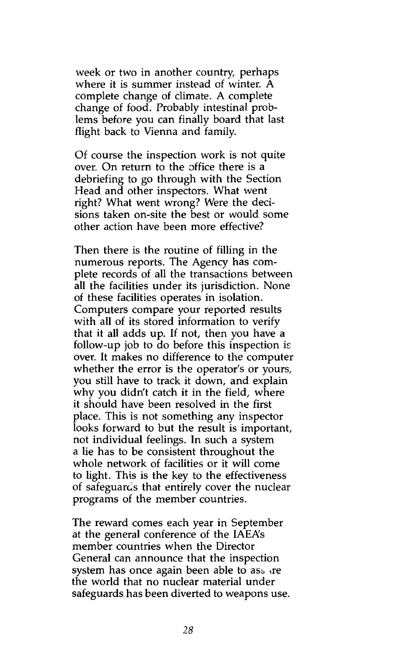week or two in another country, perhaps where it is summer instead of winter. A complete change of climate. A complete change of food. Probably intestinal problems before you can finally board that last flight back to Vienna and family.

Of course the inspection work is not quite over. On return to the office there is a debriefing to go through with the Section Head and other inspectors. What went right? What went wrong? Were the decisions taken on-site the best or would some other action have been more effective?

Then there is the routine of filling in the numerous reports. The Agency has complete records of all the transactions between all the facilities under its jurisdiction. None of these facilities operates in isolation. Computers compare your reported results with all of its stored information to verify that it all adds up. If not, then you have a follow-up job to do before this inspection is over. It makes no difference to the computer whether the error is the operator's or yours, you still have to track it down, and explain why you didn't catch it in the field, where it should have been resolved in the first place. This is not something any inspector looks forward to but the result is important, not individual feelings. In such a system a lie has to be consistent throughout the whole network of facilities or it will come to light. This is the key to the effectiveness of safeguards that entirely cover the nuclear programs of the member countries.

The reward comes each year in September at the general conference of the IAEA's member countries when the Director General can announce that the inspection system has once again been able to ass  $x$ the world that no nuclear material under safeguards has been diverted to weapons use.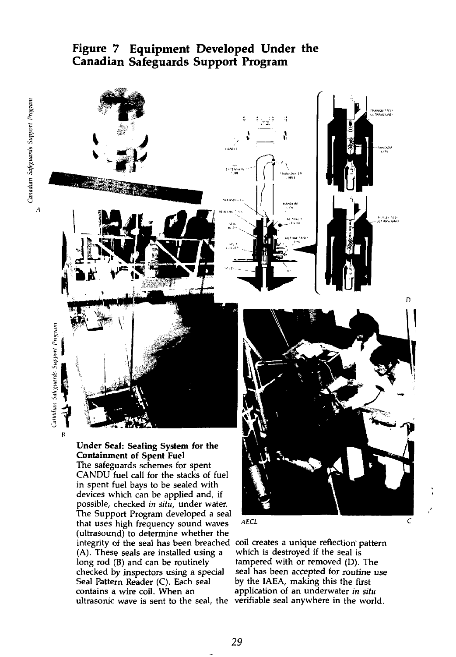### **Figure 7 Equipment Developed Under the Canadian Safeguards Support Program**

A



CANDU fuel call for the stacks of fuel in spent fuel bays to be sealed with devices which can be applied and, if possible, checked *in situ,* under water. The Support Program developed a seal that uses high frequency sound waves (ultrasound) to determine whether the integrity of the seal has been breached coil creates a unique reflection' pattern (A). These seals are installed using a long rod (B) and can be routinely checked by inspectors using a special Seal Pattern Reader (C). Each seal contains a wire coil. When an ultrasonic wave is sent to the seal, the verifiable seal anywhere in the world.



which is destroyed if the seal is tampered with or removed (D). The seal has been accepted for routine use by the IAEA, making this the first application of an underwater *in situ*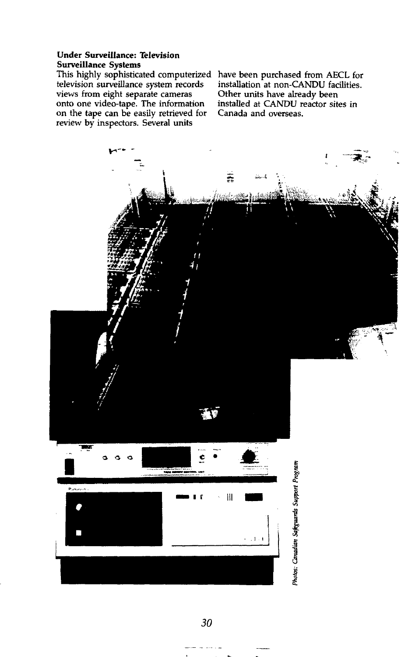#### **Under Surveillance: Television Surveillance Systems**

television surveillance system records views from eight separate cameras onto one video-tape. The information on the tape can be easily retrieved for review by inspectors. Several units

This highly sophisticated computerized have been purchased from AECL for installation at non-CANDU facilities. Other units have already been installed at CANDU reactor sites in Canada and overseas.

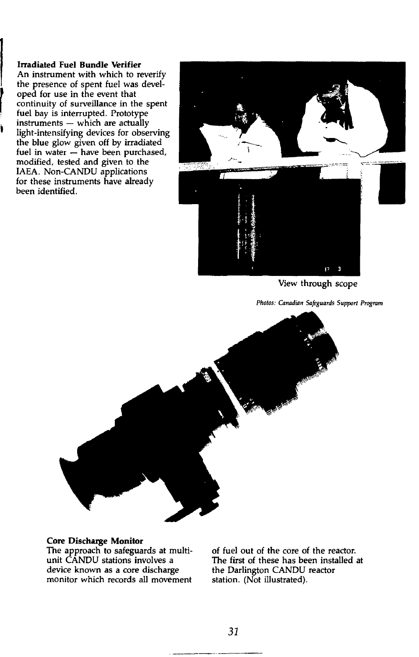#### **Irradiated Fuel Bundle Verifier**

An instrument with which to reverify the presence of spent fuel was developed for use in the event that continuity of surveillance in the spent fuel bay is interrupted. Prototype instruments — which are actually light-intensifying devices for observing the blue glow given off by irradiated fuel in water — have been purchased, modified, tested and given to the IAEA. Non-CANDU applications for these instruments have already been identified.



View through scope

*Photos: Canadian Safeguards Support Program*



#### **Core Discharge Monitor**

The approach to safeguards at multiunit CANDU stations involves a device known as a core discharge monitor which records all movement

of fuel out of the core of the reactor. The first of these has been installed at the Darlington CANDU reactor station. (Not illustrated).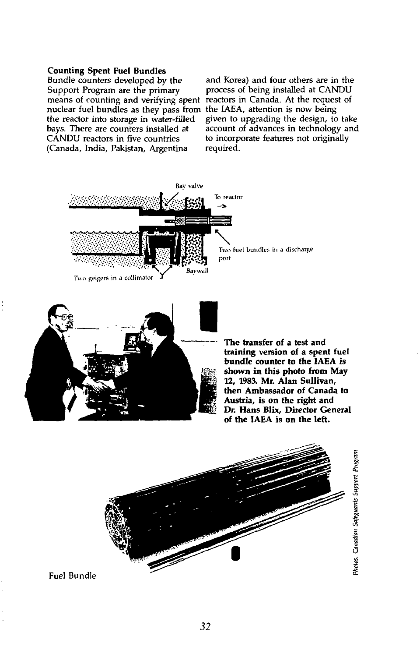#### **Counting Spent Fuel Bundles**

Bundle counters developed by the Support Program are the primary means of counting and verifying spent reactors in Canada. At the request of nuclear fuel bundles as they pass from the reactor into storage in water-filled bays. There are counters installed at CANDU reactors in five countries (Canada, India, Pakistan, Argentina

and Korea) and four others are in the process of being installed at CANDU the IAEA, attention is now being given to upgrading the design, to take account of advances in technology and to incorporate features not originally required.



Two geigers in a collimator



— **The transfer of a test and training version of a spent fuel bundle counter to the IAEA is shown in this photo from May 12, 1983. Mr. Alan Sullivan, then Ambassador of Canada to Austria, is on the right and Dr. Hans Blix, Director General of the IAEA is on the left.**



Fuel Bundle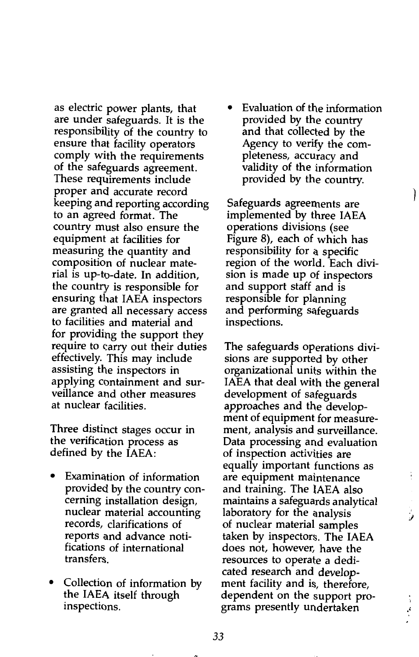as electric power plants, that are under safeguards. It is the responsibility of the country to ensure that facility operators comply with the requirements of the safeguards agreement. These requirements include proper and accurate record keeping and reporting according to an agreed format. The country must also ensure the equipment at facilities for measuring the quantity and composition of nuclear material is up-to-date. In addition, the country is responsible for ensuring that IAEA inspectors are granted all necessary access to facilities and material and for providing the support they require to carry out their duties effectively. This may include assisting the inspectors in applying containment and surveillance and other measures at nuclear facilities.

Three distinct stages occur in the verification process as defined by the IAEA:

- Examination of information provided by the country concerning installation design, nuclear material accounting records, clarifications of reports and advance notifications of international transfers.
- Collection of information by the IAEA itself through inspections.

Evaluation of the information provided by the country and that collected by the Agency to verify the completeness, accuracy and validity of the information provided by the country.

Safeguards agreements are implemented by three IAEA operations divisions (see Figure 8), each of which has responsibility for a specific region of the world. Each division is made up of inspectors and support staff and is responsible for planning and performing safeguards inspections.

The safeguards operations divisions are supported by other organizational units within the IAEA that deal with the general development of safeguards approaches and the development of equipment for measurement, analysis and surveillance. Data processing and evaluation of inspection activities are equally important functions as are equipment maintenance and training. The IAEA also maintains a safeguards analytical laboratory for the analysis of nuclear material samples taken by inspectors. The IAEA does not, however, have the resources to operate a dedicated research and development facility and is, therefore, dependent on the support programs presently undertaken

ý.

 $\frac{3}{2}$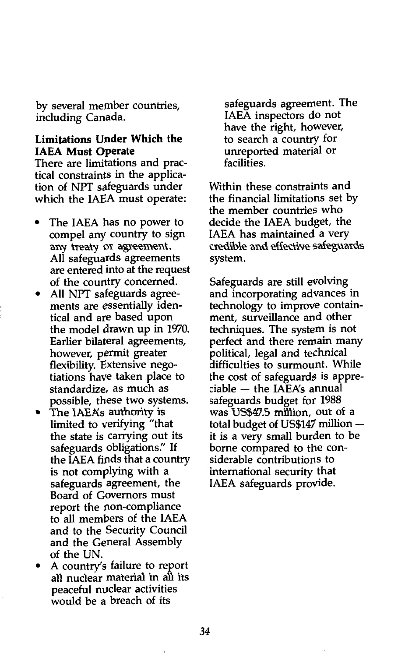by several member countries, including Canada.

#### **Limitations Under Which the IAEA Must Operate**

There are limitations and practical constraints in the application of NPT safeguards under which the IAEA must operate:

- The IAEA has no power to compel any country to sign any treaty or agreement. All safeguards agreements are entered into at the request of the country concerned.
- All NPT safeguards agreements are essentially identical and are based upon the model drawn up in 1970. Earlier bilateral agreements, however, permit greater flexibility. Extensive negotiations have taken place to standardize, as much as possible, these two systems.
- The IAEAs authority is limited to verifying "that the state is carrying out its safeguards obligations." If the IAEA finds that a country is not complying with a safeguards agreement, the Board of Governors must report the non-compliance to all members of the IAEA and to the Security Council and the General Assembly of the UN.
- A country's failure to report all nuclear material in all its peaceful nuclear activities would be a breach of its

safeguards agreement. The IAEA inspectors do not have the right, however, to search a country for unreported material or facilities.

Within these constraints and the financial limitations set by the member countries who decide the IAEA budget, the IAEA has maintained a very credible and effective safeguards system.

Safeguards are still evolving and incorporating advances in technology to improve containment, surveillance and other techniques. The system is not perfect and there remain many political, legal and technical difficulties to surmount. While the cost of safeguards is appreciable — the IAEA's annual safeguards budget for 1988 was US\$47.5 million, out of a total budget of US\$147 million it is a very small burden to be borne compared to the considerable contributions to international security that IAEA safeguards provide.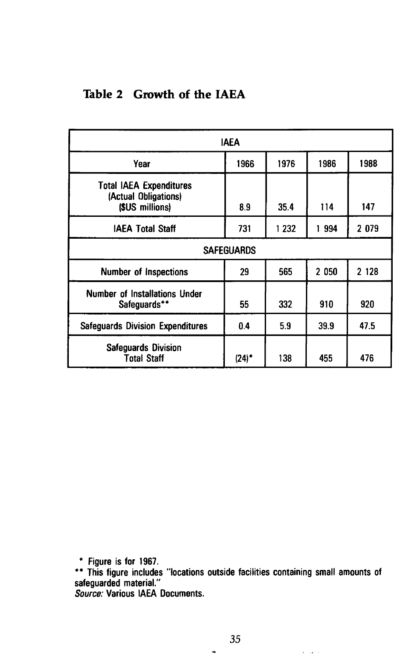# **Table 2 Growth of the IAEA**

| <b>IAEA</b>                                                               |          |       |       |         |  |
|---------------------------------------------------------------------------|----------|-------|-------|---------|--|
| Year                                                                      | 1966     | 1976  | 1986  | 1988    |  |
| <b>Total IAEA Expenditures</b><br>(Actual Obligations)<br>(\$US millions) | 8.9      | 35.4  | 114   | 147     |  |
| <b>IAEA Total Staff</b>                                                   | 731      | 1 232 | 1994  | 2 079   |  |
| <b>SAFEGUARDS</b>                                                         |          |       |       |         |  |
| Number of Inspections                                                     | 29       | 565   | 2 050 | 2 1 2 8 |  |
| Number of Installations Under<br>Safeguards**                             | 55       | 332   | 910   | 920     |  |
| <b>Safeguards Division Expenditures</b>                                   | 0.4      | 5.9   | 39.9  | 47.5    |  |
| Safeguards Division<br><b>Total Staff</b>                                 | $(24)^*$ | 138   | 455   | 476     |  |

**\* Figure is for 1967.**

**\*\* This figure includes "locations outside facilities containing small amounts of safeguarded material."**

**Source: Various IAEA Documents.**

 $\epsilon = \epsilon \epsilon$ 

ä,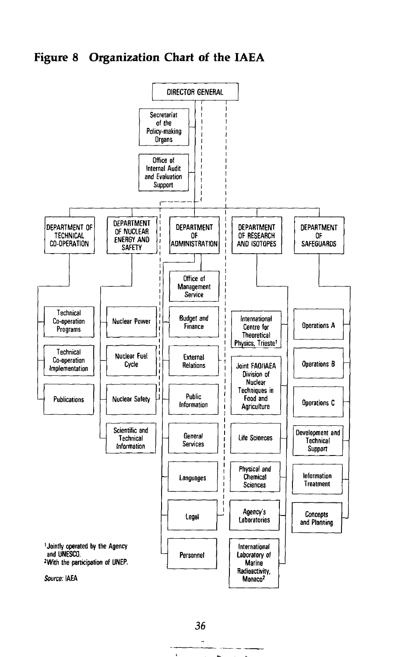# Figure 8 Organization Chart of the IAEA



*36* $\sim$ 

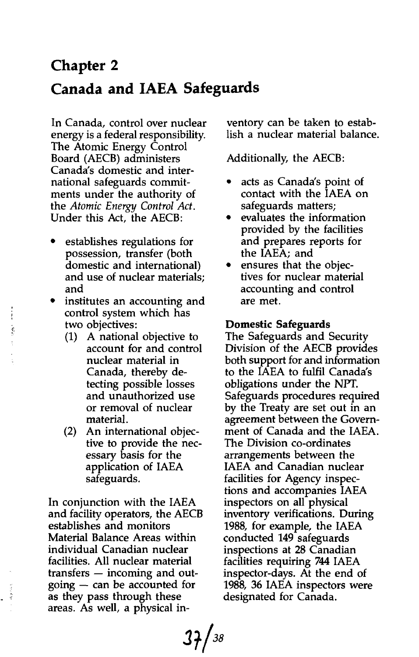# **Chapter 2 Canada and IAEA Safeguards**

In Canada, control over nuclear energy is a federal responsibility. The Atomic Energy Control Board (AECB) administers Canada's domestic and international safeguards commitments under the authority of the *Atomic Energy Control Act.* Under this Act, the AECB:

- establishes regulations for possession, transfer (both domestic and international) and use of nuclear materials; and
- institutes an accounting and control system which has two objectives:

 $\frac{1}{2}$ İ

- (1) A national objective to account for and control nuclear material in Canada, thereby detecting possible losses and unauthorized use or removal of nuclear material.
- (2) An international objective to provide the necessary basis for the application of IAEA safeguards.

In conjunction with the IAEA and facility operators, the AECB establishes and monitors Material Balance Areas within individual Canadian nuclear facilities. All nuclear material transfers — incoming and outgoing — can be accounted for as they pass through these areas. As well, a physical inventory can be taken to establish a nuclear material balance.

Additionally, the AECB:

- acts as Canada's point of contact with the IAEA on safeguards matters;
- evaluates the information provided by the facilities and prepares reports for the IAEA; and
- ensures that the objectives for nuclear material accounting and control are met.

### **Domestic Safeguards**

The Safeguards and Security Division of the AECB provides both support for and information to the IAEA to fulfil Canada's obligations under the NPT. Safeguards procedures required by the Treaty are set out in an agreement between the Government of Canada and the IAEA. The Division co-ordinates arrangements between the IAEA and Canadian nuclear facilities for Agency inspections and accompanies IAEA inspectors on all physical inventory verifications. During 1988, for example, the IAEA conducted 149 safeguards inspections at 28 Canadian facilities requiring 744 IAEA inspector-days. At the end of 1988, 36 IAEA inspectors were designated for Canada.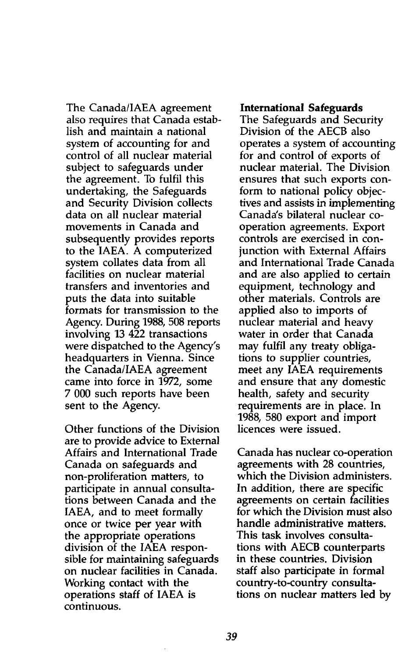The Canada/IAEA agreement also requires that Canada establish and maintain a national system of accounting for and control of all nuclear material subject to safeguards under the agreement. To fulfil this undertaking, the Safeguards and Security Division collects data on all nuclear material movements in Canada and subsequently provides reports to the IAEA. A computerized system collates data from all facilities on nuclear material transfers and inventories and puts the data into suitable formats for transmission to the Agency. During 1988, 508 reports involving 13 422 transactions were dispatched to the Agency's headquarters in Vienna. Since the Canada/IAEA agreement came into force in 1972, some 7 000 such reports have been sent to the Agency.

Other functions of the Division are to provide advice to External Affairs and International Trade Canada on safeguards and non-proliferation matters, to participate in annual consultations between Canada and the IAEA, and to meet formally once or twice per year with the appropriate operations division of the IAEA responsible for maintaining safeguards on nuclear facilities in Canada. Working contact with the operations staff of IAEA is continuous.

#### **International Safeguards**

The Safeguards and Security Division of the AECB also operates a system of accounting for and control of exports of nuclear material. The Division ensures that such exports conform to national policy objectives and assists in implementing Canada's bilateral nuclear cooperation agreements. Export controls are exercised in conjunction with External Affairs and International Trade Canada and are also applied to certain equipment, technology and other materials. Controls are applied also to imports of nuclear material and heavy water in order that Canada may fulfil any treaty obligations to supplier countries, meet any IAEA requirements and ensure that any domestic health, safety and security requirements are in place. In 1988, 580 export and import licences were issued.

Canada has nuclear co-operation agreements with 28 countries, which the Division administers. In addition, there are specific agreements on certain facilities for which the Division must also handle administrative matters. This task involves consultations with AECB counterparts in these countries. Division staff also participate in formal country-to-country consultations on nuclear matters led by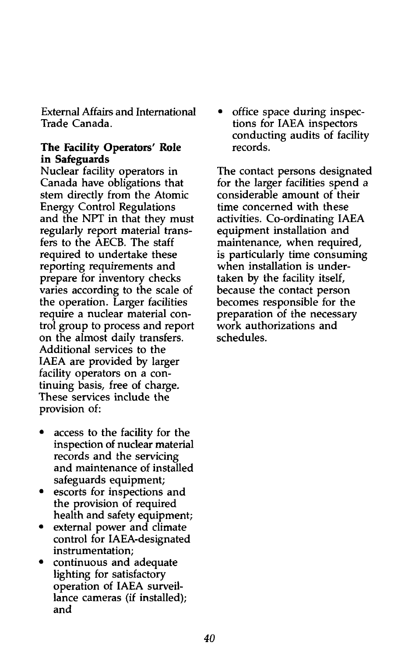External Affairs and International Trade Canada.

### **The Facility Operators' Role in Safeguards**

Nuclear facility operators in Canada have obligations that stem directly from the Atomic Energy Control Regulations and the NPT in that they must regularly report material transfers to the AECB. The staff required to undertake these reporting requirements and prepare for inventory checks varies according to the scale of the operation. Larger facilities require a nuclear material control group to process and report on the almost daily transfers. Additional services to the IAEA are provided by larger facility operators on a continuing basis, free of charge. These services include the provision of:

- access to the facility for the inspection of nuclear material records and the servicing and maintenance of installed safeguards equipment;
- escorts for inspections and the provision of required health and safety equipment;
- external power and climate control for IAEA-designated instrumentation;
- continuous and adequate lighting for satisfactory operation of IAEA surveillance cameras (if installed); and

• office space during inspections for IAEA inspectors conducting audits of facility records.

The contact persons designated for the larger facilities spend a considerable amount of their time concerned with these activities. Co-ordinating IAEA equipment installation and maintenance, when required, is particularly time consuming when installation is undertaken by the facility itself, because the contact person becomes responsible for the preparation of the necessary work authorizations and schedules.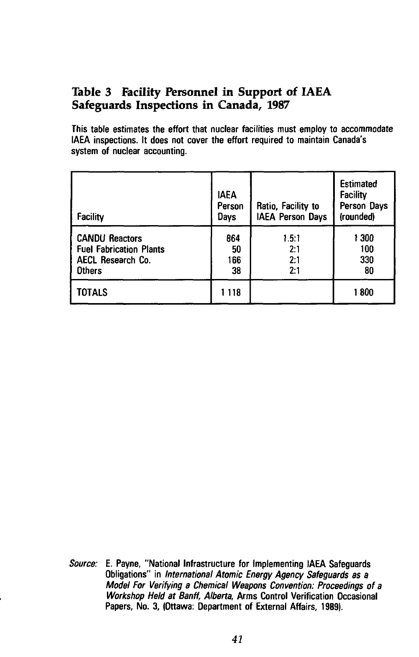# **Table 3 Facility Personnel in Support of IAEA Safeguards Inspections in Canada, 1987**

**This table estimates the effort that nuclear facilities must employ to accommodate IAEA inspections. It does not cover the effort required to maintain Canada's system of nuclear accounting.**

| Facility                                                                                      | <b>IAEA</b><br>Person<br>Days | Ratio, Facility to<br><b>IAEA Person Days</b> | <b>Estimated</b><br>Facility<br>Person Days<br>(rounded) |
|-----------------------------------------------------------------------------------------------|-------------------------------|-----------------------------------------------|----------------------------------------------------------|
| <b>CANDU Reactors</b><br><b>Fuel Fabrication Plants</b><br>AECL Research Co.<br><b>Others</b> | 864<br>50<br>166<br>38        | 1.5:1<br>2:1<br>2:1<br>2:1                    | 1 300<br>100<br>330<br>80                                |
| TOTALS                                                                                        | 1 1 1 8                       |                                               | 1800                                                     |

**Source: E. Payne, "National Infrastructure for Implementing IAEA Safeguards Obligations" in International Atomic Energy Agency Safeguards as a Model For Verifying a Chemical Weapons Convention: Proceedings of a Workshop Held at Banff, Alberta, Arms Control Verification Occasional Papers, No. 3, (Ottawa: Department of External Affairs, 1989).**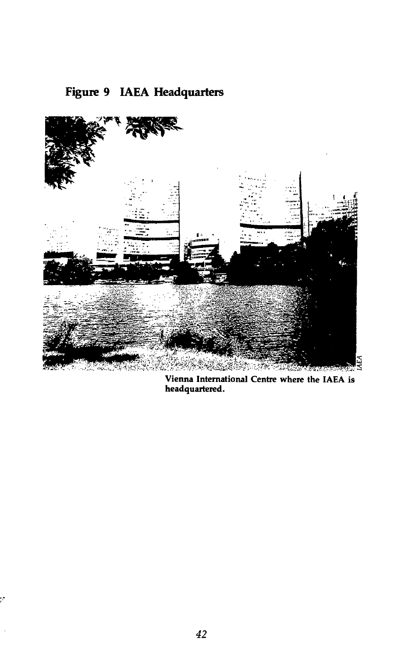# **Figure 9 IAEA Headquarters**



**Vienna International Centre where the IAEA is headquartered.**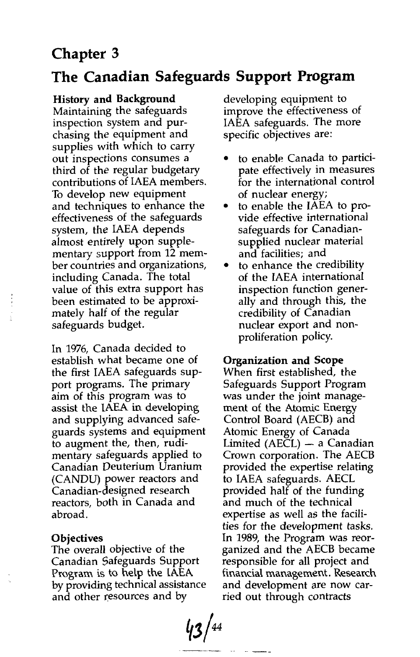# **Chapter 3**

# **The Canadian Safeguards Support Program**

#### **History and Background**

Maintaining the safeguards inspection system and purchasing the equipment and supplies with which to carry out inspections consumes a third of the regular budgetary contributions of IAEA members. To develop new equipment and techniques to enhance the effectiveness of the safeguards system, the IAEA depends almost entirely upon supplementary support from 12 member countries and organizations, including Canada. The total value of this extra support has been estimated to be approximately half of the regular safeguards budget.

In 1976, Canada decided to establish what became one of the first IAEA safeguards support programs. The primary aim of this program was to assist the IAEA in developing and supplying advanced safeguards systems and equipment to augment the, then, rudimentary safeguards applied to Canadian Deuterium Uranium (CANDU) power reactors and Canadian-designed research reactors, both in Canada and abroad.

#### **Objectives**

The overall objective of the Canadian Safeguards Support Program is to help the IAEA by providing technical assistance and other resources and by

developing equipment to improve the effectiveness of IAEA safeguards. The more specific objectives are:

- to enable Canada to participate effectively in measures for the international control of nuclear energy;
- to enable the IAEA to provide effective international safeguards for Canadiansupplied nuclear material and facilities; and
- to enhance the credibility of the IAEA international inspection function generally and through this, the credibility of Canadian nuclear export and nonproliferation policy.

#### **Organization and Scope**

When first established, the Safeguards Support Program was under the joint management of the Atomic Energy Control Board (AECB) and Atomic Energy of Canada Limited (AECL) — a Canadian Crown corporation. The AECB provided the expertise relating to IAEA safeguards. AECL provided half of the funding and much of the technical expertise as well as the facilities for the development tasks. In 1989, the Program was reorganized and the AECB became responsible for all project and financial management. Research and development are now carried out through contracts

 $43/44$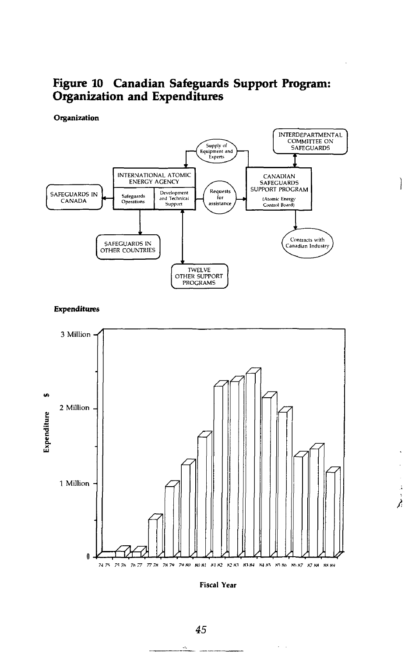# **Figure 10 Canadian Safeguards Support Program: Organization and Expenditures**

#### **Organization**



**Fiscal Year**

 $\tau=1$ 

 $\ddot{\lambda}$ د<br>اگر

#### *45*

a.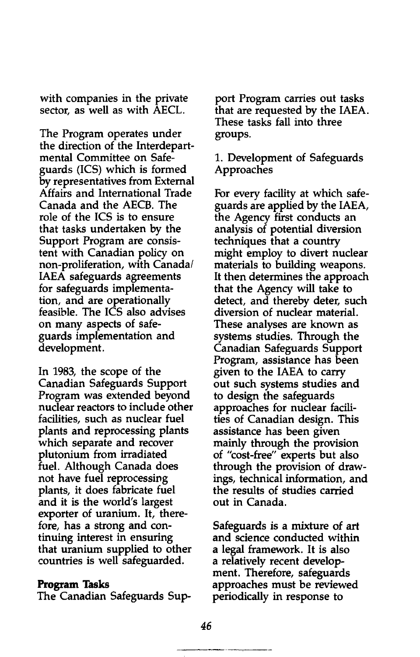with companies in the private sector, as well as with AECL.

The Program operates under the direction of the Interdepartmental Committee on Safeguards (ICS) which is formed by representatives from External Affairs and International Trade Canada and the AECB. The role of the ICS is to ensure that tasks undertaken by the Support Program are consistent with Canadian policy on non-proliferation, with Canada/ IAEA safeguards agreements for safeguards implementation, and are operationally feasible. The ICS also advises on many aspects of safeguards implementation and development.

In 1983, the scope of the Canadian Safeguards Support Program was extended beyond nuclear reactors to include other facilities, such as nuclear fuel plants and reprocessing plants which separate and recover plutonium from irradiated fuel. Although Canada does not have fuel reprocessing plants, it does fabricate fuel and it is the world's largest exporter of uranium. It, therefore, has a strong and continuing interest in ensuring that uranium supplied to other countries is well safeguarded.

#### **Program Tasks**

The Canadian Safeguards Sup-

port Program carries out tasks that are requested by the IAEA. These tasks fall into three groups.

1. Development of Safeguards Approaches

For every facility at which safeguards are applied by the IAEA, the Agency first conducts an analysis of potential diversion techniques that a country might employ to divert nuclear materials to building weapons. It then determines the approach that the Agency will take to detect, and thereby deter, such diversion of nuclear material. These analyses are known as systems studies. Through the Canadian Safeguards Support Program, assistance has been given to the IAEA to carry out such systems studies and to design the safeguards approaches for nuclear facilities of Canadian design. This assistance has been given mainly through the provision of "cost-free" experts but also through the provision of drawings, technical information, and the results of studies carried out in Canada.

Safeguards is a mixture of art and science conducted within a legal framework. It is also a relatively recent development. Therefore, safeguards approaches must be reviewed periodically in response to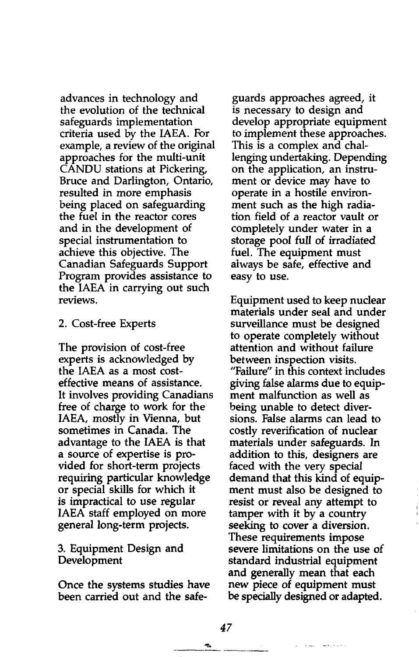advances in technology and the evolution of the technical safeguards implementation criteria used by the IAEA. For example, a review of the original approaches for the multi-unit CANDU stations at Pickering, Bruce and Darlington, Ontario, resulted in more emphasis being placed on safeguarding the fuel in the reactor cores and in the development of special instrumentation to achieve this objective. The Canadian Safeguards Support Program provides assistance to the IAEA in carrying out such reviews.

#### 2. Cost-free Experts

The provision of cost-free experts is acknowledged by the IAEA as a most costeffective means of assistance. It involves providing Canadians free of charge to work for the IAEA, mostly in Vienna, but sometimes in Canada. The advantage to the IAEA is that a source of expertise is provided for short-term projects requiring particular knowledge or special skills for which it is impractical to use regular IAEA staff employed on more general long-term projects.

### 3. Equipment Design and Development

Once the systems studies have been carried out and the safe-

guards approaches agreed, it is necessary to design and develop appropriate equipment to implement these approaches. This is a complex and challenging undertaking. Depending on the application, an instrument or device may have to operate in a hostile environment such as the high radiation field of a reactor vault or completely under water in a storage pool full of irradiated fuel. The equipment must always be safe, effective and easy to use.

Equipment used to keep nuclear materials under seal and under surveillance must be designed to operate completely without attention and without failure between inspection visits.

"Failure" in this context includes giving false alarms due to equipment malfunction as well as being unable to detect diversions. False alarms can lead to costly reverification of nuclear materials under safeguards. In addition to this, designers are faced with the very special demand that this kind of equipment must also be designed to resist or reveal any attempt to tamper with it by a country seeking to cover a diversion. These requirements impose severe limitations on the use of standard industrial equipment and generally mean that each new piece of equipment must be specially designed or adapted.

saved with a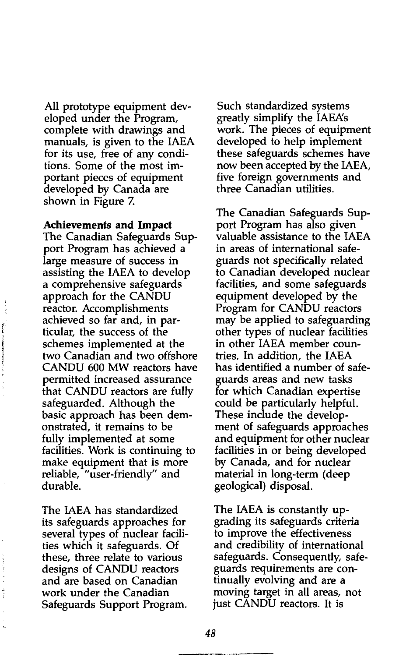All prototype equipment developed under the Program, complete with drawings and manuals, is given to the IAEA for its use, free of any conditions. Some of the most important pieces of equipment developed by Canada are shown in Figure 7.

#### **Achievements and Impact**

The Canadian Safeguards Support Program has achieved a large measure of success in assisting the IAEA to develop a comprehensive safeguards approach for the CANDU reactor. Accomplishments achieved so far and, in particular, the success of the schemes implemented at the two Canadian and two offshore CANDU 600 MW reactors have permitted increased assurance that CANDU reactors are fully safeguarded. Although the basic approach has been demonstrated, it remains to be fully implemented at some facilities. Work is continuing to make equipment that is more reliable, "user-friendly" and durable.

The IAEA has standardized its safeguards approaches for several types of nuclear facilities which it safeguards. Of these, three relate to various designs of CANDU reactors and are based on Canadian work under the Canadian Safeguards Support Program.

Such standardized systems greatly simplify the IAEA's work. The pieces of equipment developed to help implement these safeguards schemes have now been accepted by the IAEA, five foreign governments and three Canadian utilities.

The Canadian Safeguards Support Program has also given valuable assistance to the IAEA in areas of international safeguards not specifically related to Canadian developed nuclear facilities, and some safeguards equipment developed by the Program for CANDU reactors may be applied to safeguarding other types of nuclear facilities in other IAEA member countries. In addition, the IAEA has identified a number of safeguards areas and new tasks for which Canadian expertise could be particularly helpful. These include the development of safeguards approaches and equipment for other nuclear facilities in or being developed by Canada, and for nuclear material in long-term (deep geological) disposal.

The IAEA is constantly upgrading its safeguards criteria to improve the effectiveness and credibility of international safeguards. Consequently, safeguards requirements are continually evolving and are a moving target in all areas, not just CANDU reactors. It is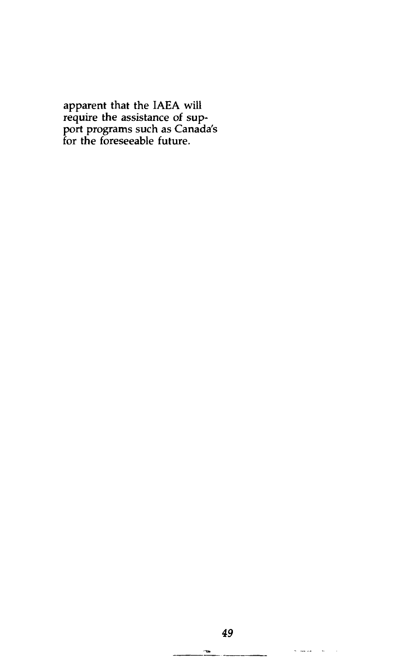apparent that the IAEA will require the assistance of support programs such as Canada's for the foreseeable future.

rtas<br>1

الموسوع

 $\downarrow$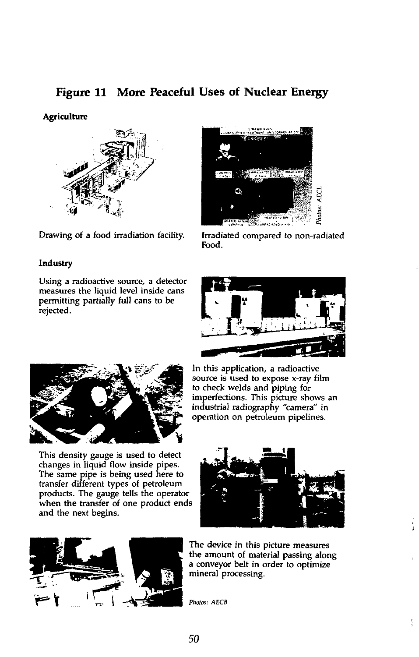# Figure 11 More Peaceful Uses of Nuclear Energy

#### **Agriculture**



Drawing of a food irradiation facility. Irradiated compared to non-radiated

#### **Industry**

Using a radioactive source, a detector measures the liquid level inside cans permitting partially full cans to be rejected.



Food.





This density gauge is used to detect changes in liquid flow inside pipes. The same pipe is being used here to transfer different types of petroleum products. The gauge tells the operator when the transfer of one product ends and the next begins.



In this application, a radioactive source is used to expose x-ray film to check welds and piping for imperfections. This picture shows an



The device in this picture measures the amount of material passing along a conveyor belt in order to optimize mineral processing.

**Photos: AECB**

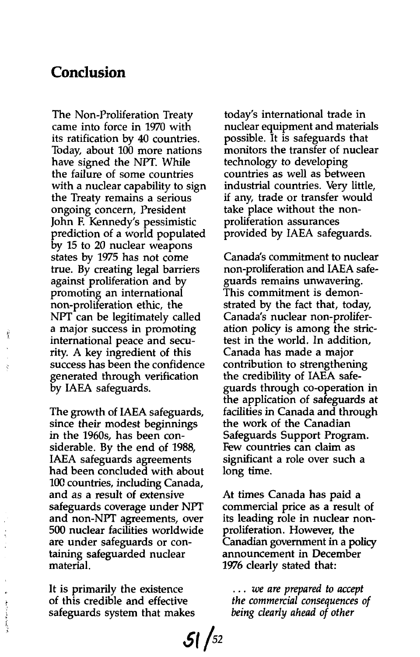# **Conclusion**

ł

Ş

**Comment of the Comment** 

The Non-Proliferation Treaty came into force in 1970 with its ratification by 40 countries. Today, about 100 more nations have signed the NPT. While the failure of some countries with a nuclear capability to sign the Treaty remains a serious ongoing concern, President John F. Kennedy's pessimistic prediction of a world populated by 15 to 20 nuclear weapons states by 1975 has not come true. By creating legal barriers against proliferation and by promoting an international non-proliferation ethic, the NPT can be legitimately called a major success in promoting international peace and security. A key ingredient of this success has been the confidence generated through verification by IAEA safeguards.

The growth of IAEA safeguards, since their modest beginnings in the 1960s, has been considerable. By the end of 1988, IAEA safeguards agreements had been concluded with about 100 countries, including Canada, and as a result of extensive safeguards coverage under NPT and non-NPT agreements, over 500 nuclear facilities worldwide are under safeguards or containing safeguarded nuclear material.

It is primarily the existence of this credible and effective safeguards system that makes today's international trade in nuclear equipment and materials possible. It is safeguards that monitors the transfer of nuclear technology to developing countries as well as between industrial countries. Very little, if any, trade or transfer would take place without the nonproliferation assurances provided by IAEA safeguards.

Canada's commitment to nuclear non-proliferation and IAEA safeguards remains unwavering. This commitment is demonstrated by the fact that, today, Canada's nuclear non-proliferation policy is among the strictest in the world. In addition, Canada has made a major contribution to strengthening the credibility of IAEA safeguards through co-operation in the application of safeguards at facilities in Canada and through the work of the Canadian Safeguards Support Program. Few countries can claim as significant a role over such a long time.

At times Canada has paid a commercial price as a result of its leading role in nuclear nonproliferation. However, the Canadian government in a policy announcement in December 1976 clearly stated that:

. . . *we are prepared to accept the commercial consequences of being clearly ahead of other*

 $51/52$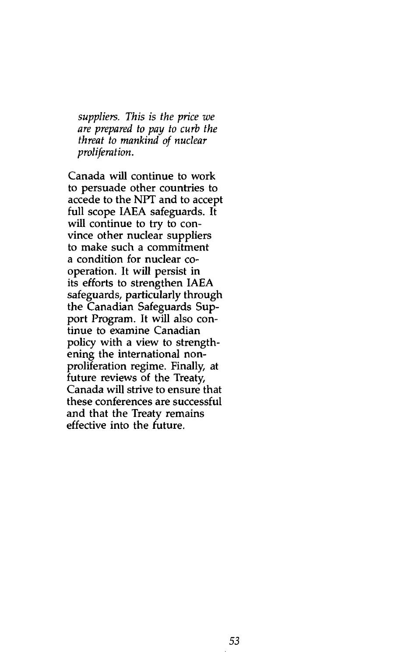*suppliers. This is the price we are prepared to pay to curb the threat to mankind of nuclear proliferation.*

Canada will continue to work to persuade other countries to accede to the NPT and to accept full scope IAEA safeguards. It will continue to try to convince other nuclear suppliers to make such a commitment a condition for nuclear cooperation. It will persist in its efforts to strengthen IAEA safeguards, particularly through the Canadian Safeguards Support Program. It will also continue to examine Canadian policy with a view to strengthening the international nonproliferation regime. Finally, at future reviews of the Treaty, Canada will strive to ensure that these conferences are successful and that the Treaty remains effective into the future.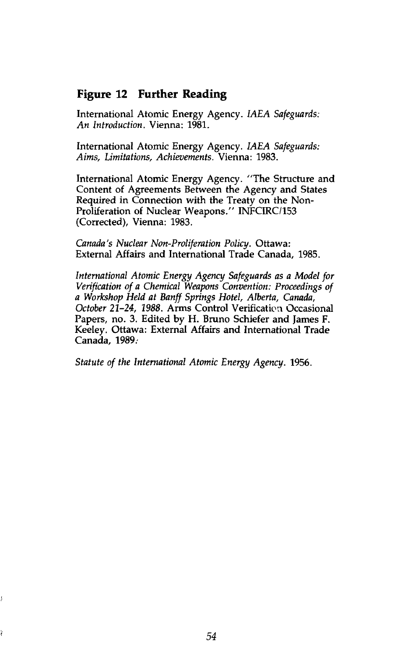### **Figure 12 Further Reading**

International Atomic Energy Agency. *IAEA Safeguards: An Introduction.* Vienna: 1981.

International Atomic Energy Agency. *IAEA Safeguards: Aims, Limitations, Achievements.* Vienna: 1983.

International Atomic Energy Agency. "The Structure and Content of Agreements Between the Agency and States Required in Connection with the Treaty on the Non-Proliferation of Nuclear Weapons." INFCIRC/153 (Corrected), Vienna: 1983.

*Canada's Nuclear Non-Proliferation Policy.* Ottawa: External Affairs and International Trade Canada, 1985.

*International Atomic Energy Agency Safeguards as a Model for Verification of a Chemical Weapons Convention: Proceedings of a Workshop Held at Banff Springs Hotel, Alberta, Canada, October 21-24, 1988.* Arms Control Verification Occasional Papers, no. 3. Edited by H. Bruno Schiefer and James F. Keeley. Ottawa: External Affairs and International Trade Canada, 1989.

*Statute of the International Atomic Energy Agency.* 1956.

Ž

è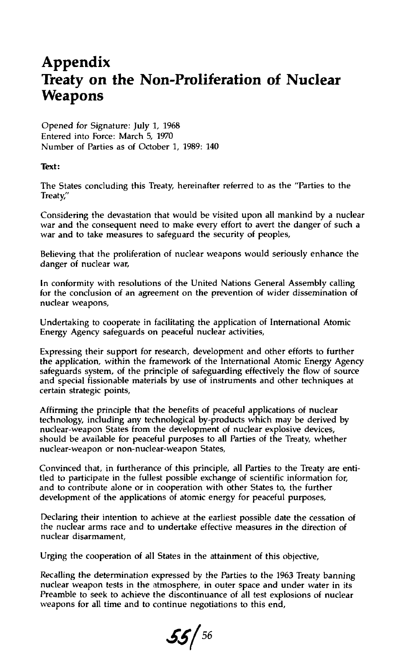# **Appendix Treaty on the Non-Proliferation of Nuclear Weapons**

Opened for Signature: July 1, 1968 Entered into Force: March 5, 1970 Number of Parties as of October 1, 1989: 140

#### **Text:**

The States concluding this Treaty, hereinafter referred to as the "Parties to the Treaty,"

Considering the devastation that would be visited upon all mankind by a nuclear war and the consequent need to make every effort to avert the danger of such a war and to take measures to safeguard the security of peoples,

Believing that the proliferation of nuclear weapons would seriously enhance the danger of nuclear war,

In conformity with resolutions of the United Nations General Assembly calling for the conclusion of an agreement on the prevention of wider dissemination of nuclear weapons,

Undertaking to cooperate in facilitating the application of International Atomic Energy Agency safeguards on peaceful nuclear activities,

Expressing their support for research, development and other efforts to further the application, within the framework of the International Atomic Energy Agency safeguards system, of the principle of safeguarding effectively the flow of source and special fissionable materials by use of instruments and other techniques at certain strategic points,

Affirming the principle that the benefits of peaceful applications of nuclear technology, including any technological by-products which may be derived by nuclear-weapon States from the development of nuclear explosive devices, should be available for peaceful purposes to all Parties of the Treaty, whether nuclear-weapon or non-nuclear-weapon States,

Convinced that, in furtherance of this principle, all Parties to the Treaty are entitled to participate in the fullest possible exchange of scientific information for, and to contribute alone or in cooperation with other States to, the further development of the applications of atomic energy for peaceful purposes,

Declaring their intention to achieve at the earliest possible date the cessation of the nuclear arms race and to undertake effective measures in the direction of nuclear disarmament,

Urging the cooperation of all States in the attainment of this objective,

Recalling the determination expressed by the Parties to the 1963 Treaty banning nuclear weapon tests in the atmosphere, in outer space and under water in its Preamble to seek to achieve the discontinuance of all test explosions of nuclear weapons for all time and to continue negotiations to this end.

 $55/56$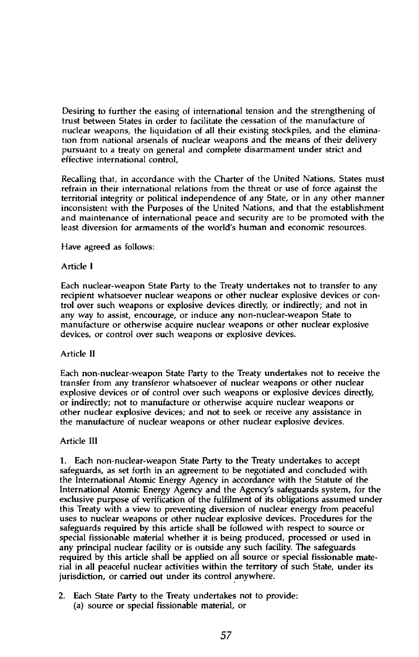Desiring to further the easing of international tension and the strengthening of trust between States in order to facilitate the cessation of the manufacture of nuclear weapons, the liquidation of all their existing stockpiles, and the elimination from national arsenals of nuclear weapons and the means of their delivery pursuant to a treaty on general and complete disarmament under strict and effective international control,

Recalling that, in accordance with the Charter of the United Nations, States must refrain in their international relations from the threat or use of force against the territorial integrity or political independence of any State, or in any other manner inconsistent with the Purposes of the United Nations, and that the establishment and maintenance of international peace and security are to be promoted with the least diversion for armaments of the world's human and economic resources.

Have agreed as follows:

#### Article I

Each nuclear-weapon State Party to the Treaty undertakes not to transfer to any recipient whatsoever nuclear weapons or other nuclear explosive devices or control over such weapons or explosive devices directly, or indirectly; and not in any way to assist, encourage, or induce any non-nuclear-weapon State to manufacture or otherwise acquire nuclear weapons or other nuclear explosive devices, or control over such weapons or explosive devices.

#### Article II

Each non-nuclear-weapon State Party to the Treaty undertakes not to receive the transfer from any transferor whatsoever of nuclear weapons or other nuclear explosive devices or of control over such weapons or explosive devices directly, or indirectly; not to manufacture or otherwise acquire nuclear weapons or other nuclear explosive devices; and not to seek or receive any assistance in the manufacture of nuclear weapons or other nuclear explosive devices.

#### Article III

1. Each non-nuclear-weapon State Party to the Treaty undertakes to accept safeguards, as set forth in an agreement to be negotiated and concluded with the International Atomic Energy Agency in accordance with the Statute of the International Atomic Energy Agency and the Agency's safeguards system, for the exclusive purpose of verification of the fulfilment of its obligations assumed under this Treaty with a view to preventing diversion of nuclear energy from peaceful uses to nuclear weapons or other nuclear explosive devices. Procedures for the safeguards required by this article shall be followed with respect to source or special fissionable material whether it is being produced, processed or used in any principal nuclear facility or is outside any such facility. The safeguards required by this article shall be applied on all source or special fissionable material in all peaceful nuclear activities within the territory of such Stale, under its jurisdiction, or carried out under its control anywhere.

2. Each State Party to the Treaty undertakes not to provide: (a) source or special fissionable material, or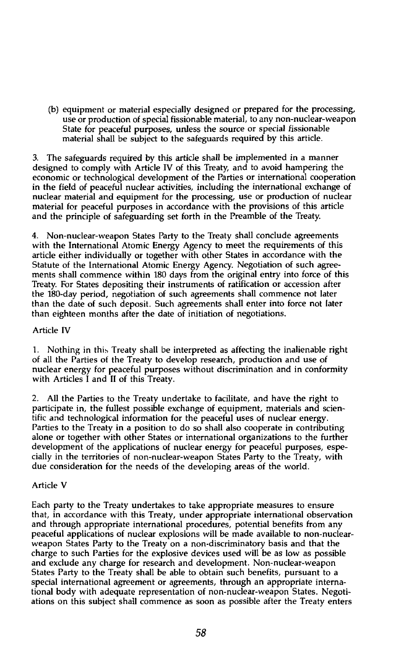(b) equipment or material especially designed or prepared for the processing, use or production of special fissionable material, to any non-nuclear-weapon State for peaceful purposes, unless the source or special fissionable material shall be subject to the safeguards required by this article.

3. The safeguards required by this article shall be implemented in a manner designed to comply with Article IV of this Treaty, and to avoid hampering the economic or technological development of the Parties or international cooperation in the field of peaceful nuclear activities, including the international exchange of nuclear material and equipment for the processing, use or production of nuclear material for peaceful purposes in accordance with the provisions of this article and the principle of safeguarding set forth in the Preamble of the Treaty.

4. Non-nuclear-weapon States Party to the Treaty shall conclude agreements with the International Atomic Energy Agency to meet the requirements of this article either individually or together with other States in accordance with the Statute of the International Atomic Energy Agency. Negotiation of such agreements shall commence within 180 days from the original entry into force of this Treaty. For States depositing their instruments of ratification or accession after the 180-day period, negotiation of such agreements shall commence not later than the date of such deposit. Such agreements shall enter into force not later than eighteen months after the date of initiation of negotiations.

Article IV

1. Nothing in this Treaty shall be interpreted as affecting the inalienable right of all the Parties of the Treaty to develop research, production and use of nuclear energy for peaceful purposes without discrimination and in conformity with Articles I and II of this Treaty.

2. All the Parties to the Treaty undertake to facilitate, and have the right to participate in, the fullest possible exchange of equipment, materials and scientific and technological information for the peaceful uses of nuclear energy. Parties to the Treaty in a position to do so shall also cooperate in contributing alone or together with other States or international organizations to the further development of the applications of nuclear energy for peaceful purposes, especially in the territories of non-nuclear-weapon States Party to the Treaty, with due consideration for the needs of the developing areas of the world.

#### Article V

Each party to the Treaty undertakes to take appropriate measures to ensure that, in accordance with this Treaty, under appropriate international observation and through appropriate international procedures, potential benefits from any peaceful applications of nuclear explosions will be made available to non-nuclearweapon States Party to the Treaty on a non-discriminatory basis and that the charge to such Parties for the explosive devices used will be as low as possible and exclude any charge for research and development. Non-nuclear-weapon States Party to the Treaty shall be able to obtain such benefits, pursuant to a special international agreement or agreements, through an appropriate international body with adequate representation of non-nuclear-weapon States. Negotiations on this subject shall commence as soon as possible after the Treaty enters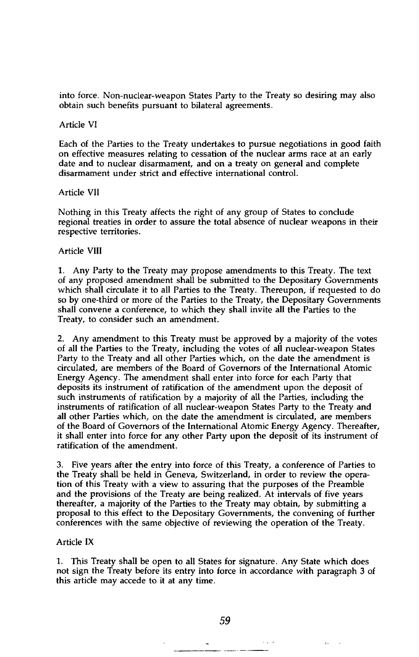into force. Non-nuclear-weapon States Party to the Treaty so desiring may also obtain such benefits pursuant to bilateral agreements.

#### Article VI

Each of the Parties to the Treaty undertakes to pursue negotiations in good faith on effective measures relating to cessation of the nuclear arms race at an early date and to nuclear disarmament, and on a treaty on general and complete disarmament under strict and effective international control.

#### Article VII

Nothing in this Treaty affects the right of any group of States to conclude regional treaties in order to assure the total absence of nuclear weapons in their respective territories.

#### Article VIII

1. Any Party to the Treaty may propose amendments to this Treaty. The text of any proposed amendment shall be submitted to the Depositary Governments which shall circulate it to all Parties to the Treaty. Thereupon, if requested to do so by one-third or more of the Parties to the Treaty, the Depositary Governments shall convene a conference, to which they shall invite all the Parties to the Treaty, to consider such an amendment.

2. Any amendment to this Treaty must be approved by a majority of the votes of all the Parties to the Treaty, including the votes of all nuclear-weapon States Party to the Treaty and all other Parties which, on the date the amendment is circulated, are members of the Board of Governors of the International Atomic Energy Agency. The amendment shall enter into force for each Party that deposits its instrument of ratification of the amendment upon the deposit of such instruments of ratification by a majority of all the Parties, including the instruments of ratification of all nuclear-weapon States Party to the Treaty and all other Parties which, on the date the amendment is circulated, are members of the Board of Governors of the International Atomic Energy Agency. Thereafter, it shall enter into force for any other Party upon the deposit of its instrument of ratification of the amendment.

3. Five years after the entry into force of this Treaty, a conference of Parties to the Treaty shall be held in Geneva, Switzerland, in order to review the operation of this Treaty with a view to assuring that the purposes of the Preamble and the provisions of the Treaty are being realized. At intervals of five years thereafter, a majority of the Parties to the Treaty may obtain, by submitting a proposal to this effect to the Depositary Governments, the convening of further conferences with the same objective of reviewing the operation of the Treaty.

#### Article IX

1. This Treaty shall be open to all States for signature. Any State which does not sign the Treaty before its entry into force in accordance with paragraph 3 of this article may accede to it at any time.

 $\mathcal{L}_{\rm{max}}$ 

 $\ddotsc$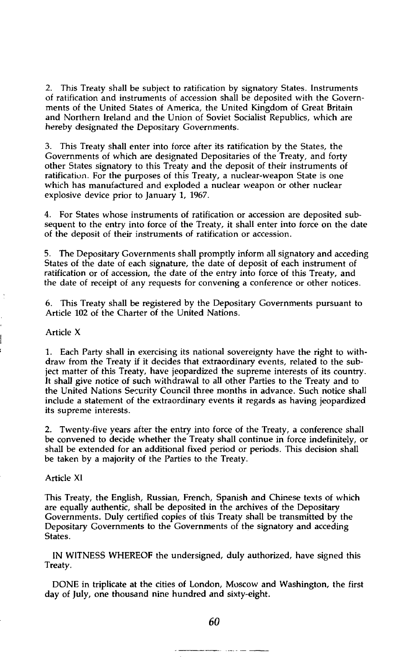2. This Treaty shall be subject to ratification by signatory States. Instruments of ratification and instruments of accession shall be deposited with the Governments of the United States of America, the United Kingdom of Great Britain and Northern Ireland and the Union of Soviet Socialist Republics, which are hereby designated the Depositary Governments.

3. This Treaty shall enter into force after its ratification by the States, the Governments of which are designated Depositaries of the Treaty, and forty other States signatory to this Treaty and the deposit of their instruments of ratification. For the purposes of this Treaty, a nuclear-weapon State is one which has manufactured and exploded a nuclear weapon or other nuclear explosive device prior to January 1, 1967.

4. For States whose instruments of ratification or accession are deposited subsequent to the entry into force of the Treaty, it shall enter into force on the date of the deposit of their instruments of ratification or accession.

5. The Depositary Governments shall promptly inform all signatory and acceding States of the date of each signature, the date of deposit of each instrument of ratification or of accession, the date of the entry into force of this Treaty, and the date of receipt of any requests for convening a conference or other notices.

6. This Treaty shall be registered by the Depositary Governments pursuant to Article 102 of the Charter of the United Nations.

#### Article X

1. Each Party shall in exercising its national sovereignty have the right to withdraw from the Treaty if it decides that extraordinary events, related to the subject matter of this Treaty, have jeopardized the supreme interests of its country. It shall give notice of such withdrawal to all other Parties to the Treaty and to the United Nations Security Council three months in advance. Such notice shall include a statement of the extraordinary events it regards as having jeopardized its supreme interests.

2. Twenty-five years after the entry into force of the Treaty, a conference shall be convened to decide whether the Treaty shall continue in force indefinitely, or shall be extended for an additional fixed period or periods. This decision shall be taken by a majority of the Parties to the Treaty.

#### Article XI

This Treaty, the English, Russian, French, Spanish and Chinese texts of which are equally authentic, shall be deposited in the archives of the Depositary Governments. Duly certified copies of this Treaty shall be transmitted by the Depositary Governments to the Governments of the signatory and acceding States.

IN WITNESS WHEREOF the undersigned, duly authorized, have signed this Treaty.

DONE in triplicate at the cities of London, Moscow and Washington, the first day of July, one thousand nine hundred and sixty-eight.

**60**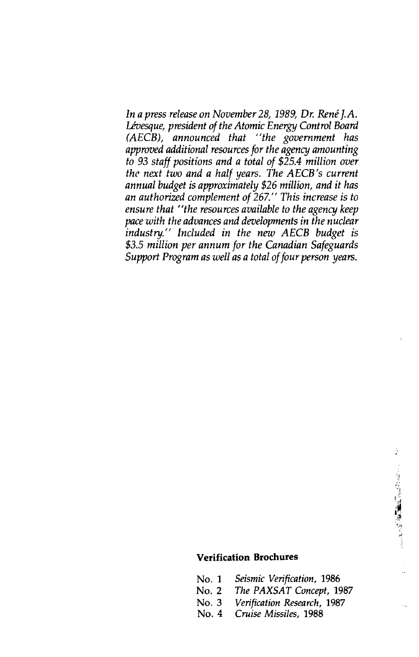*In a press release on November 28, 1989, Dr. Rene].A. Levesque, president of the Atomic Energy Control Board (AECB), announced that "the government has approved additional resources for the agency amounting to 93 staff positions and a total of \$25.4 million over the next two and a half years. The AECB's current annual budget is approximately \$26 million, and it has an authorized complement of 267." This increase is to ensure that "the resources available to the agency keep pace with the advances and developments in the nuclear industry." Included in the new AECB budget is \$3.5 million per annum for the Canadian Safeguards Support Program as well as a total of four person years.*

#### **Verification Brochures**

- No. 1 *Seismic Verification,* 1986
- No. 2 *The PAXSAT Concept,* 1987

**A**<br>A Property South Section 2019

- No. 3 *Verification Research,* 1987
- No. 4 *Cruise Missiles,* 1988